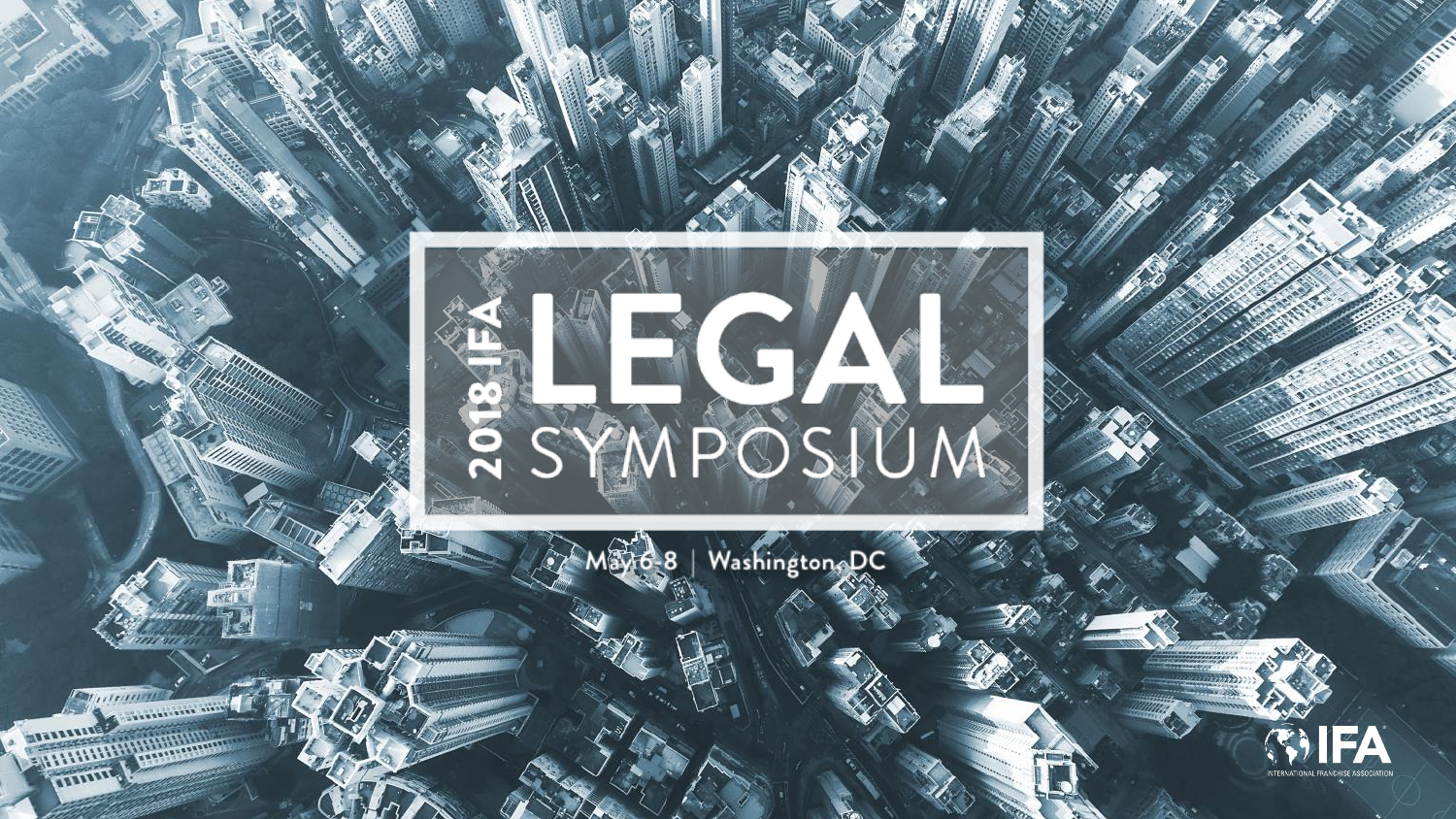

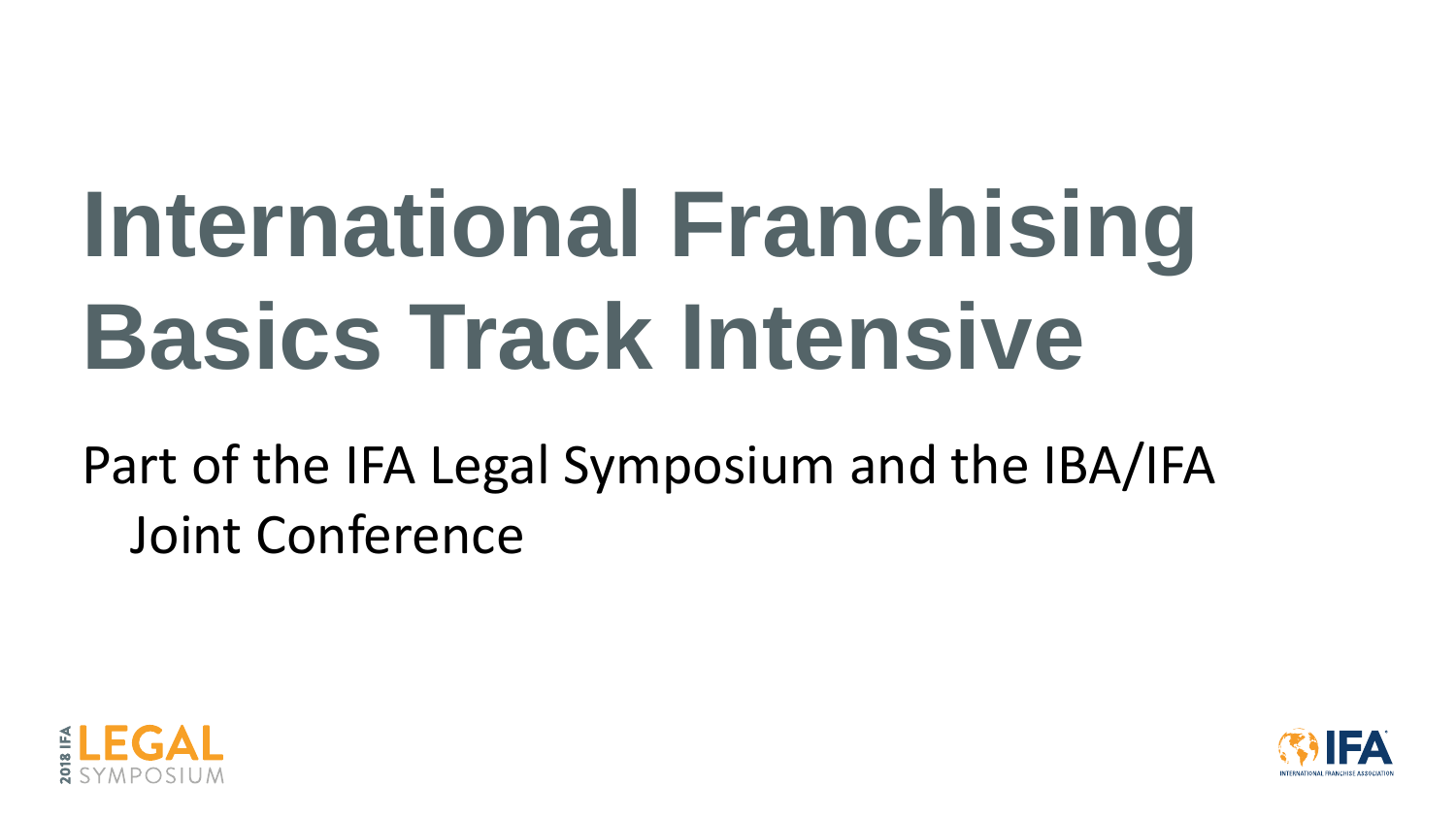# **International Franchising Basics Track Intensive**

Part of the IFA Legal Symposium and the IBA/IFA Joint Conference





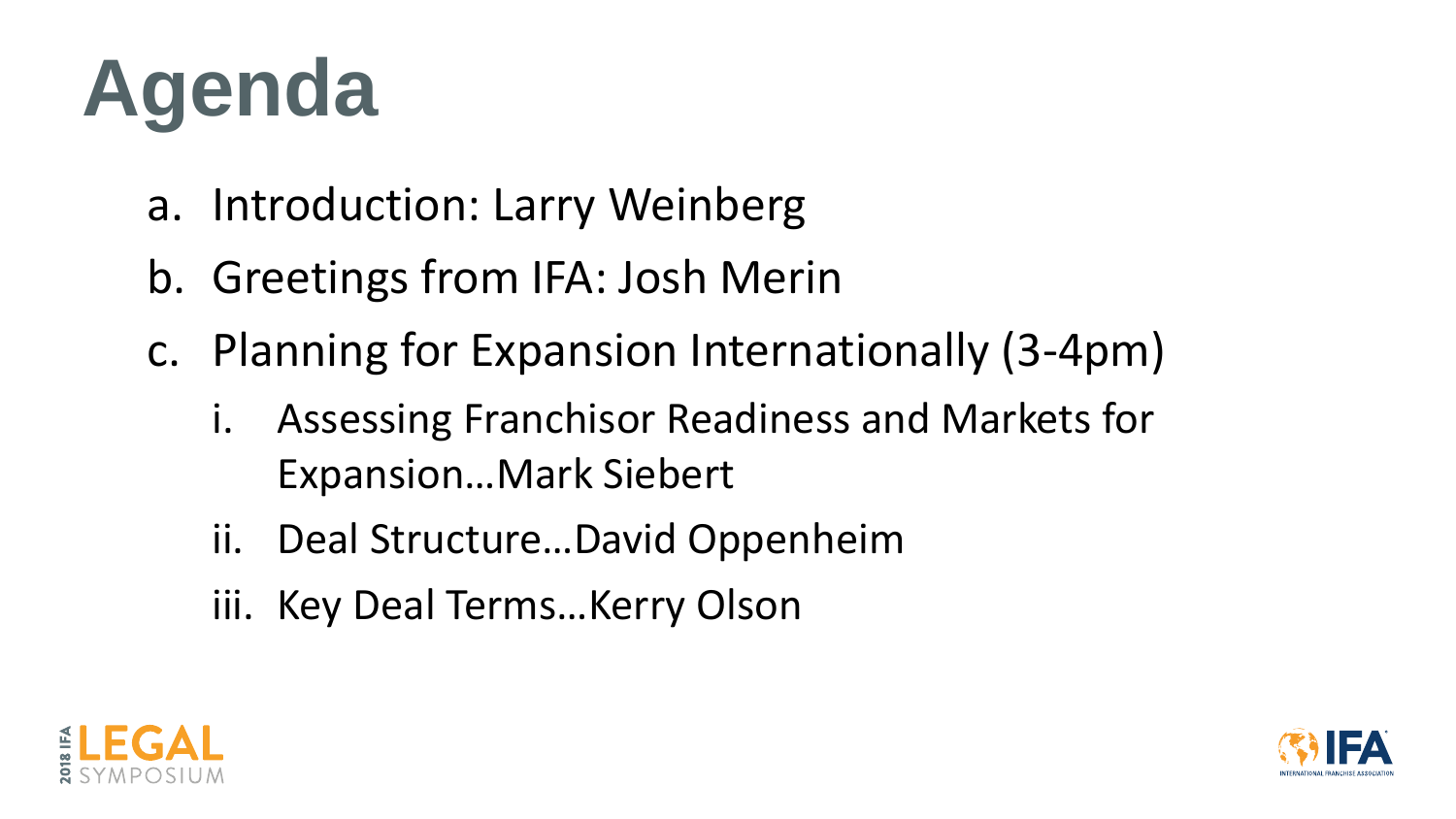- a. Introduction: Larry Weinberg
- b. Greetings from IFA: Josh Merin
- c. Planning for Expansion Internationally (3-4pm)
	- Assessing Franchisor Readiness and Markets for Expansion…Mark Siebert
	- ii. Deal Structure…David Oppenheim
	- iii. Key Deal Terms…Kerry Olson





# **Agenda**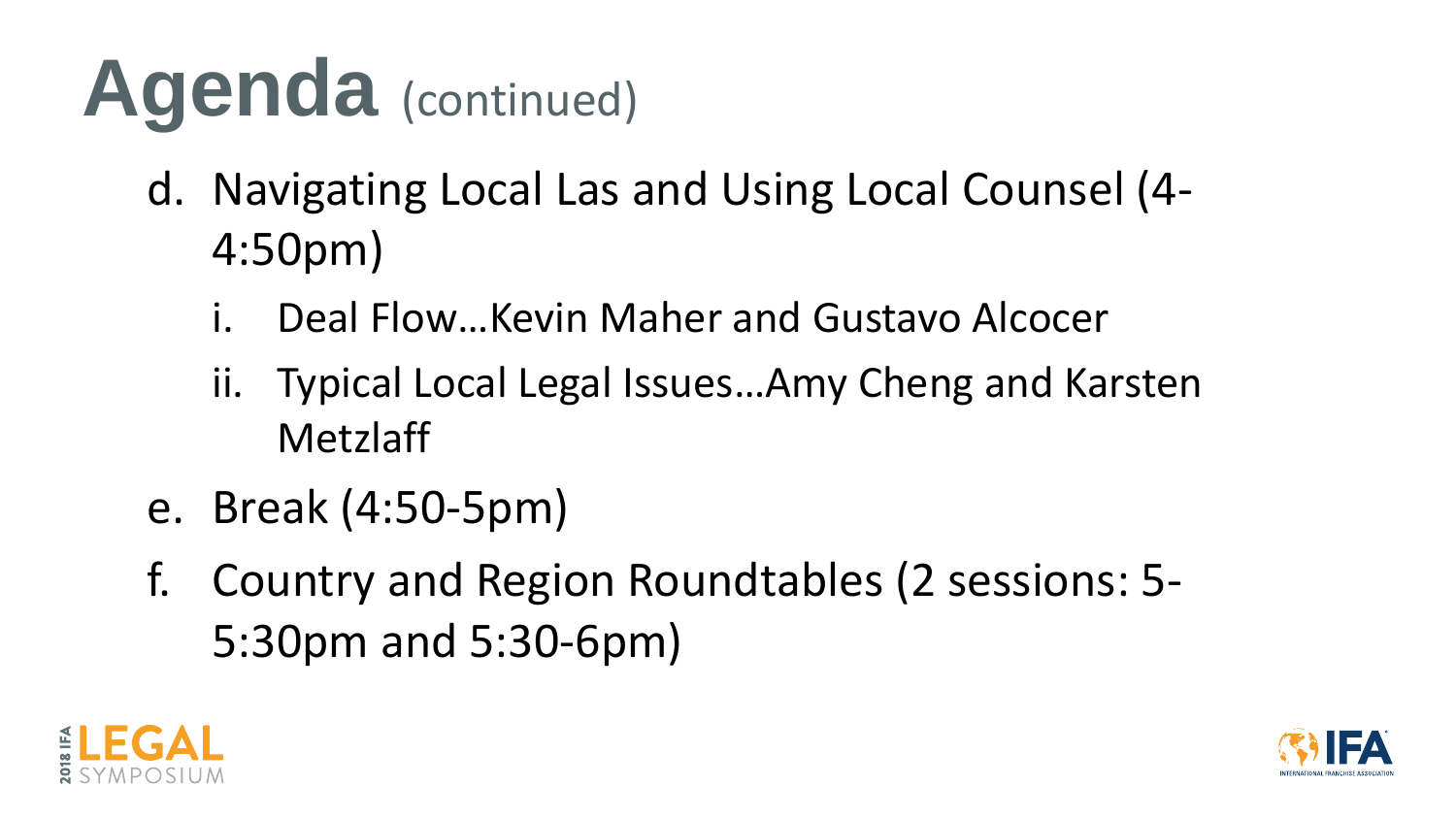- d. Navigating Local Las and Using Local Counsel (4- 4:50pm)
	- Deal Flow... Kevin Maher and Gustavo Alcocer
	- ii. Typical Local Legal Issues…Amy Cheng and Karsten Metzlaff
- e. Break (4:50-5pm)
- f. Country and Region Roundtables (2 sessions: 5- 5:30pm and 5:30-6pm)







# **Agenda** (continued)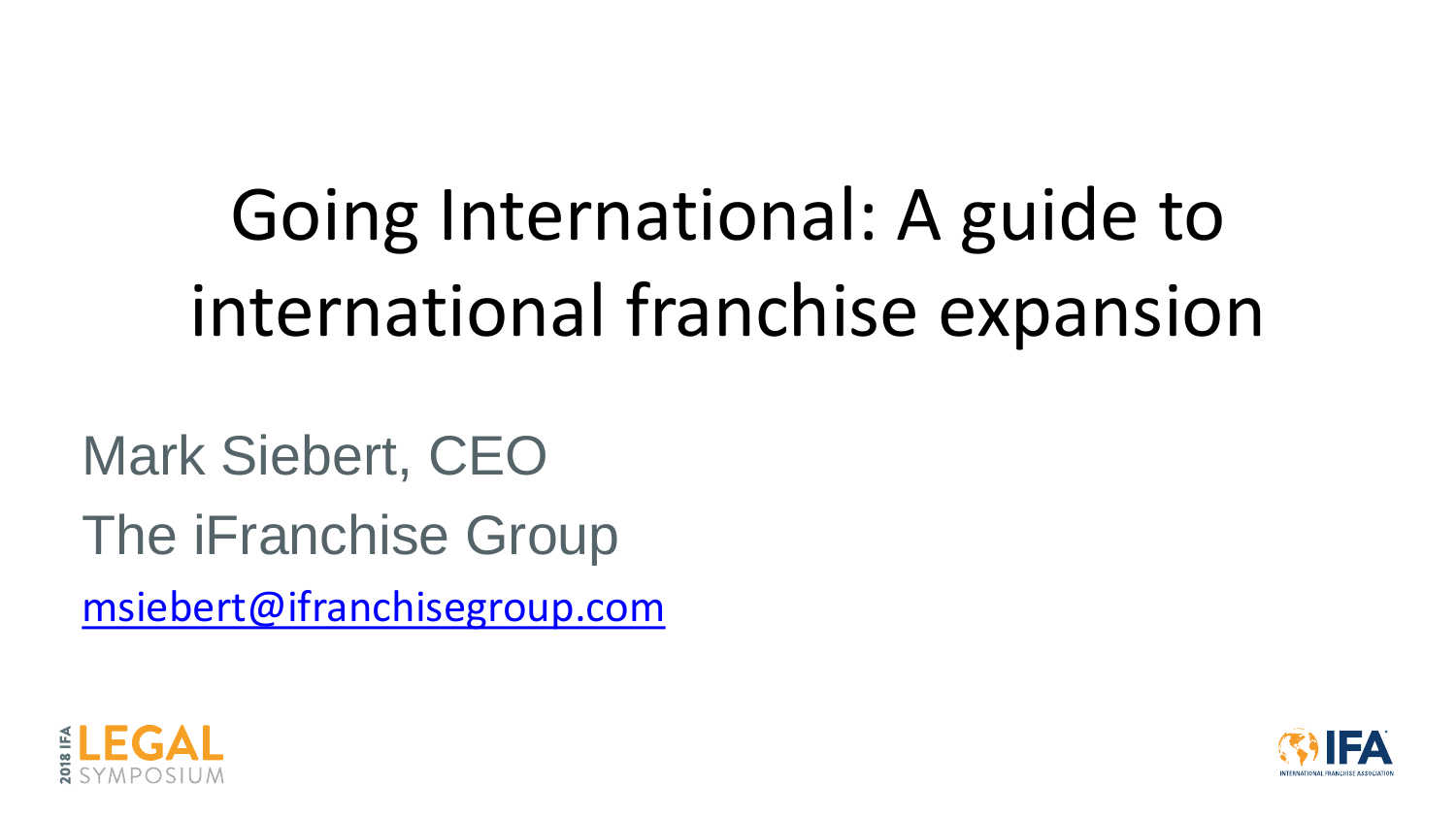Going International: A guide to international franchise expansion

Mark Siebert, CEO The iFranchise Group [msiebert@ifranchisegroup.com](mailto:msiebert@ifranchisegroup.com)



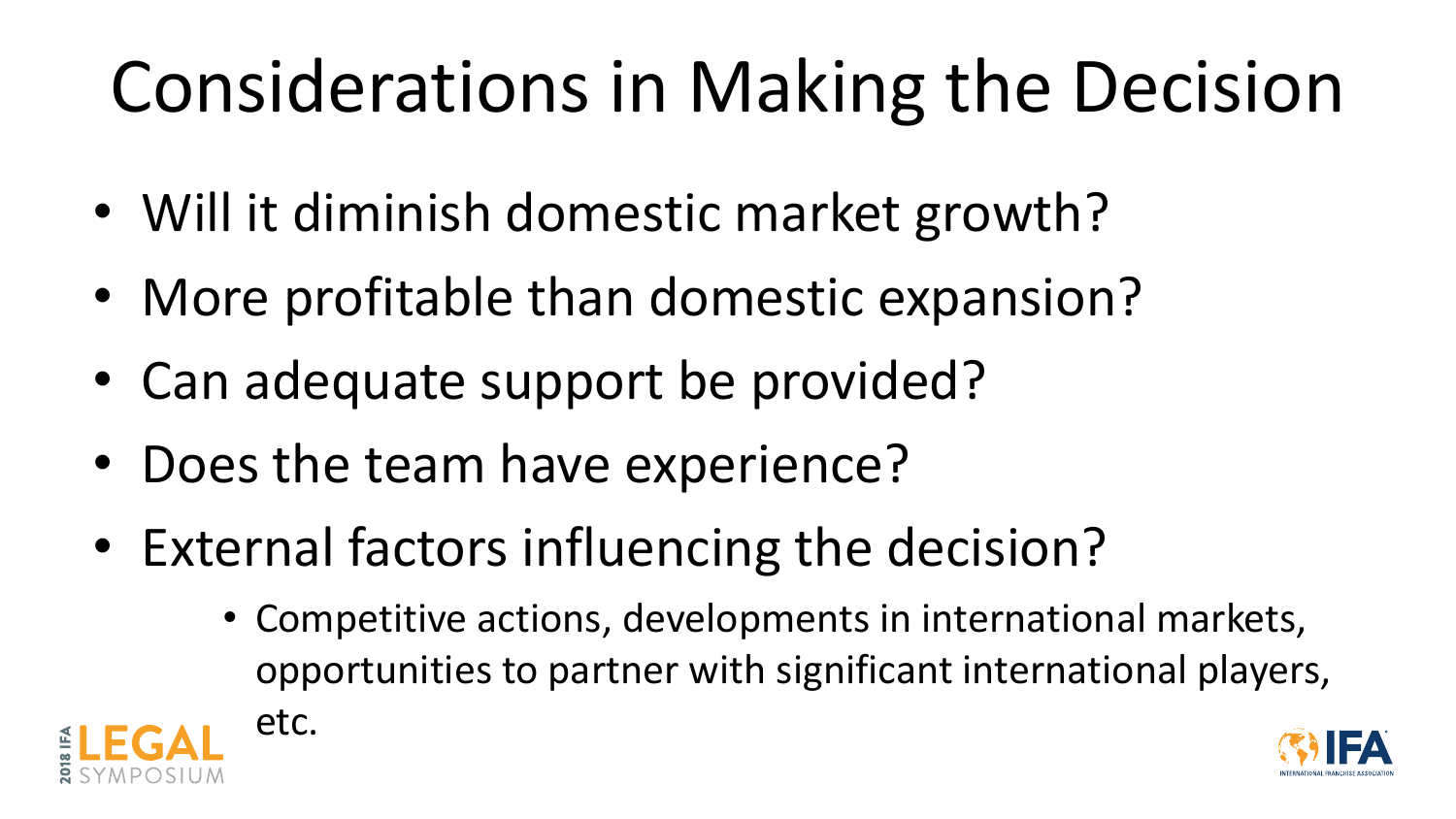## Considerations in Making the Decision

- Will it diminish domestic market growth?
- More profitable than domestic expansion?
- Can adequate support be provided?
- Does the team have experience?
- External factors influencing the decision?
	- Competitive actions, developments in international markets, opportunities to partner with significant international players, etc.



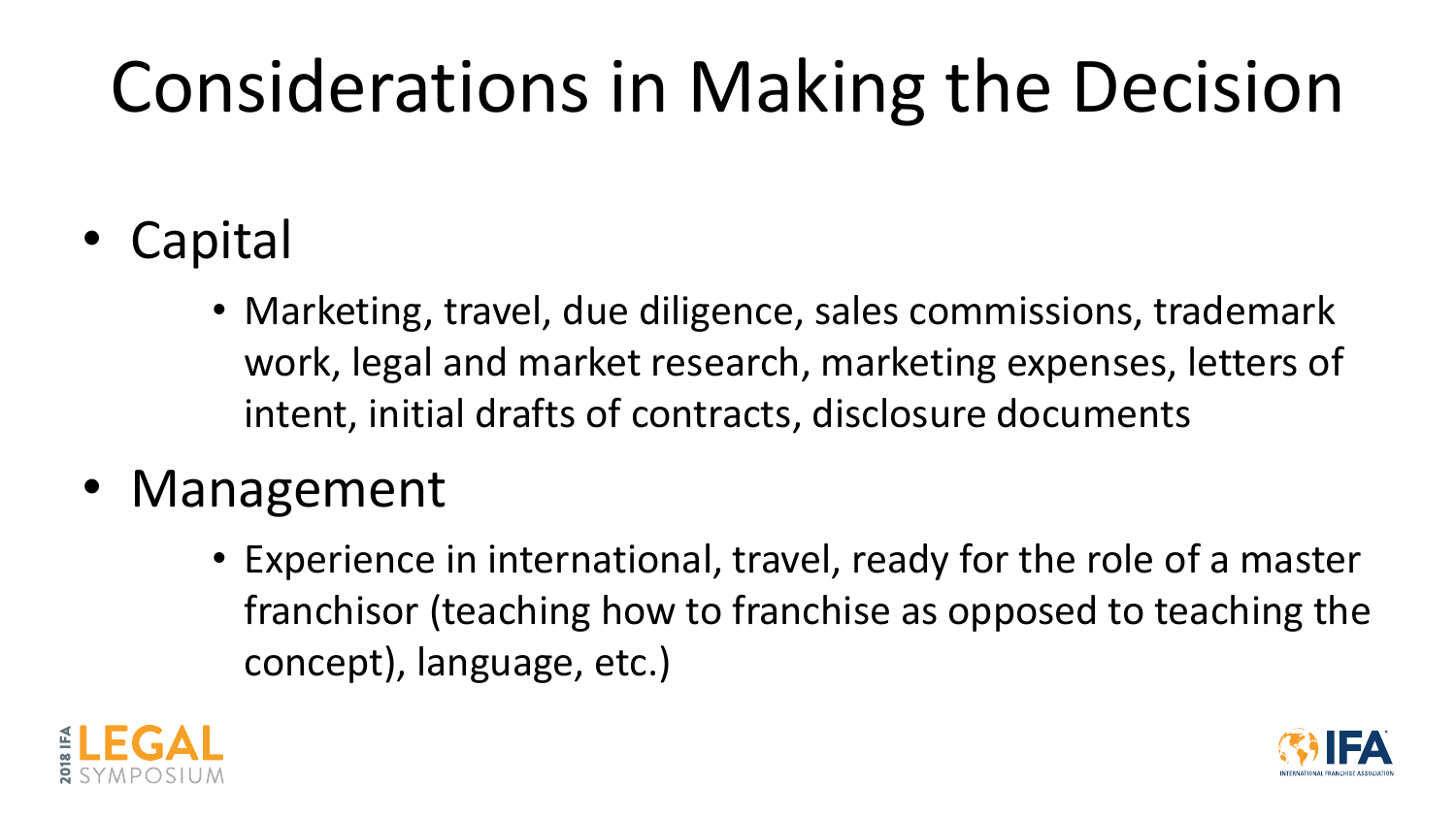## Considerations in Making the Decision

- Capital
	- Marketing, travel, due diligence, sales commissions, trademark work, legal and market research, marketing expenses, letters of intent, initial drafts of contracts, disclosure documents
- Management
	- Experience in international, travel, ready for the role of a master franchisor (teaching how to franchise as opposed to teaching the concept), language, etc.)



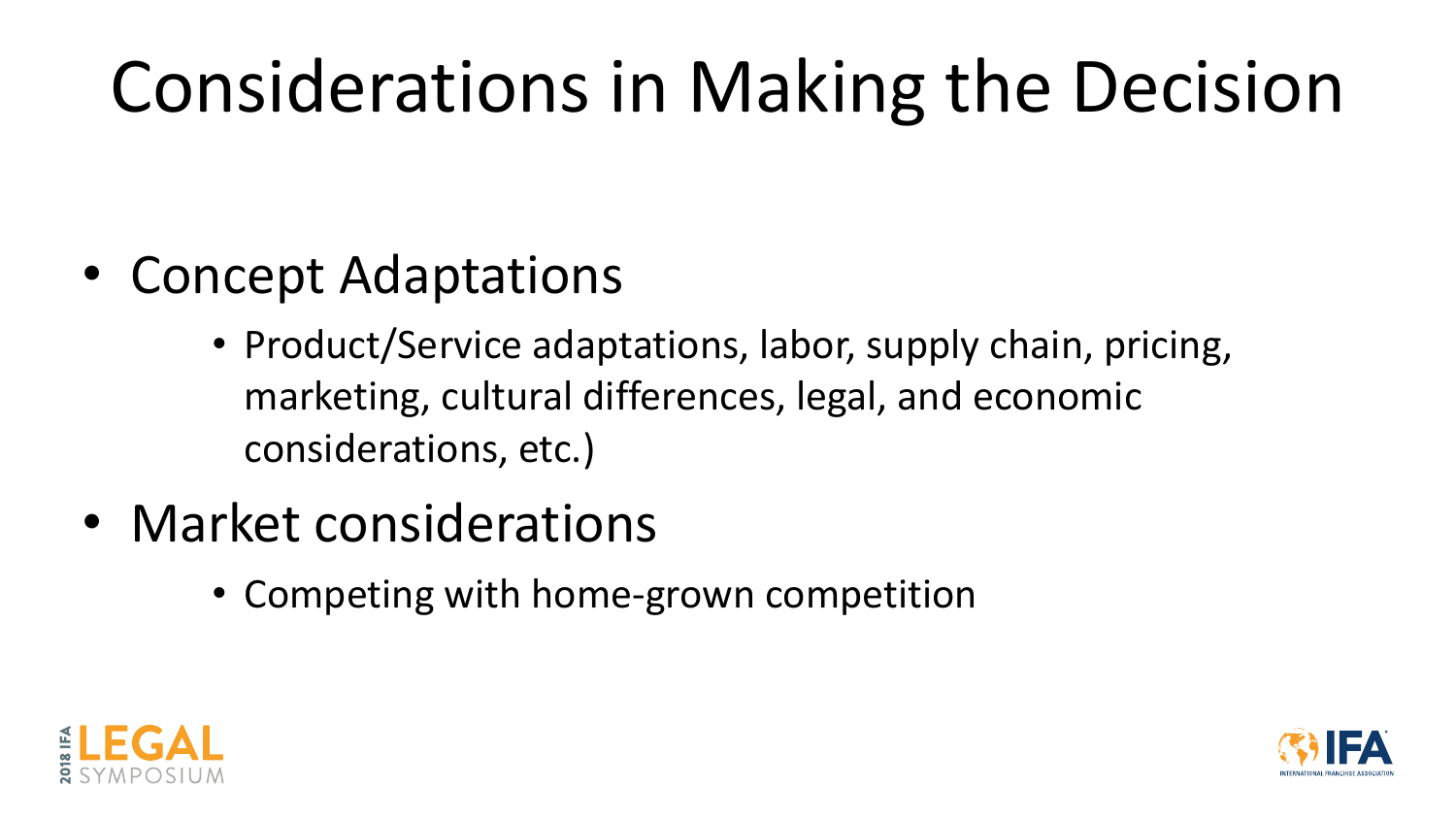## Considerations in Making the Decision

- Concept Adaptations
	- Product/Service adaptations, labor, supply chain, pricing, marketing, cultural differences, legal, and economic considerations, etc.)
- Market considerations
	- Competing with home-grown competition



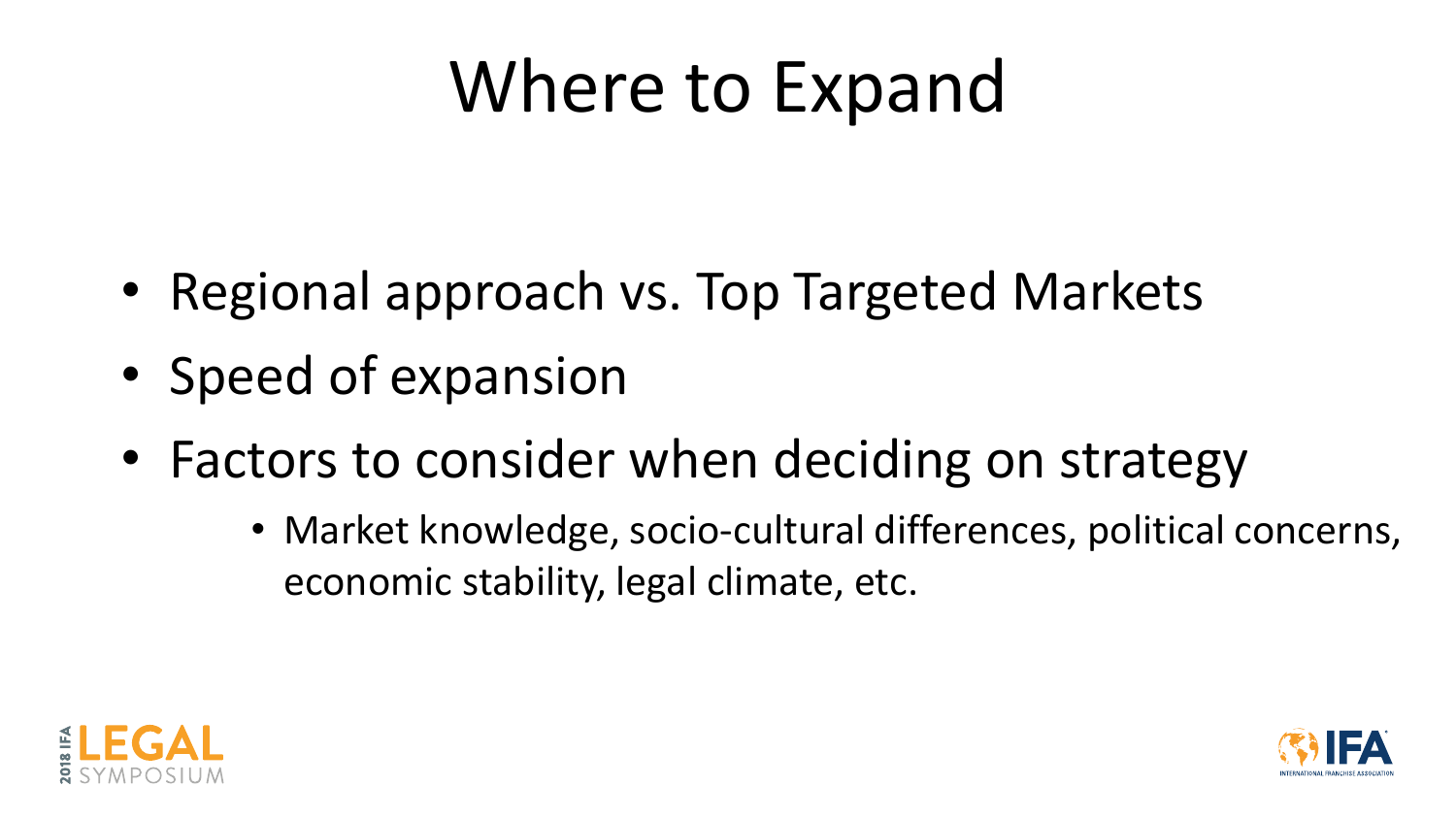## Where to Expand

- Regional approach vs. Top Targeted Markets
- Speed of expansion
- Factors to consider when deciding on strategy
	- Market knowledge, socio-cultural differences, political concerns, economic stability, legal climate, etc.



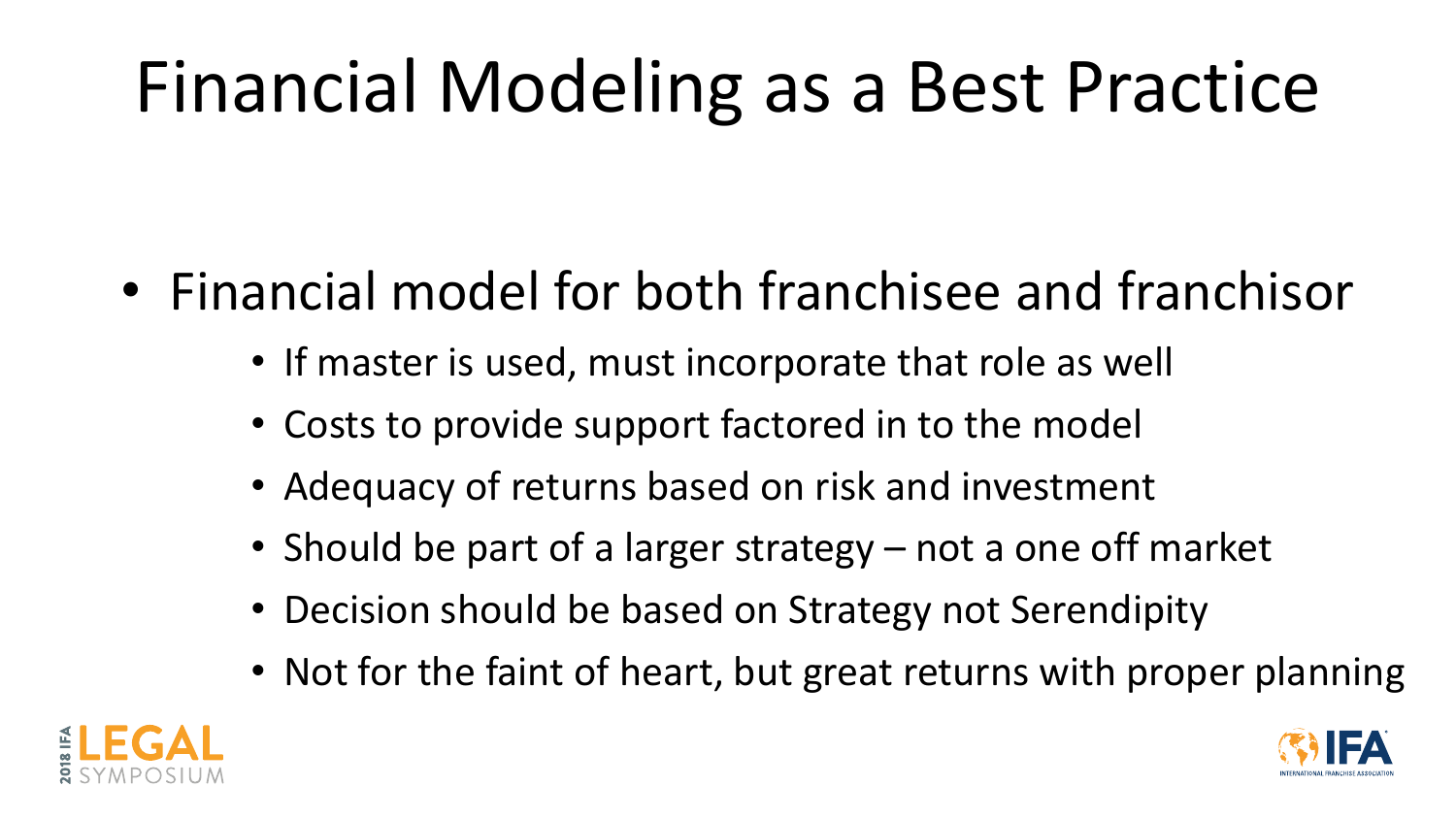## Financial Modeling as a Best Practice

- Financial model for both franchisee and franchisor
	- If master is used, must incorporate that role as well
	- Costs to provide support factored in to the model
	- Adequacy of returns based on risk and investment
	- Should be part of a larger strategy not a one off market
	- Decision should be based on Strategy not Serendipity
	- Not for the faint of heart, but great returns with proper planning



- 
- 

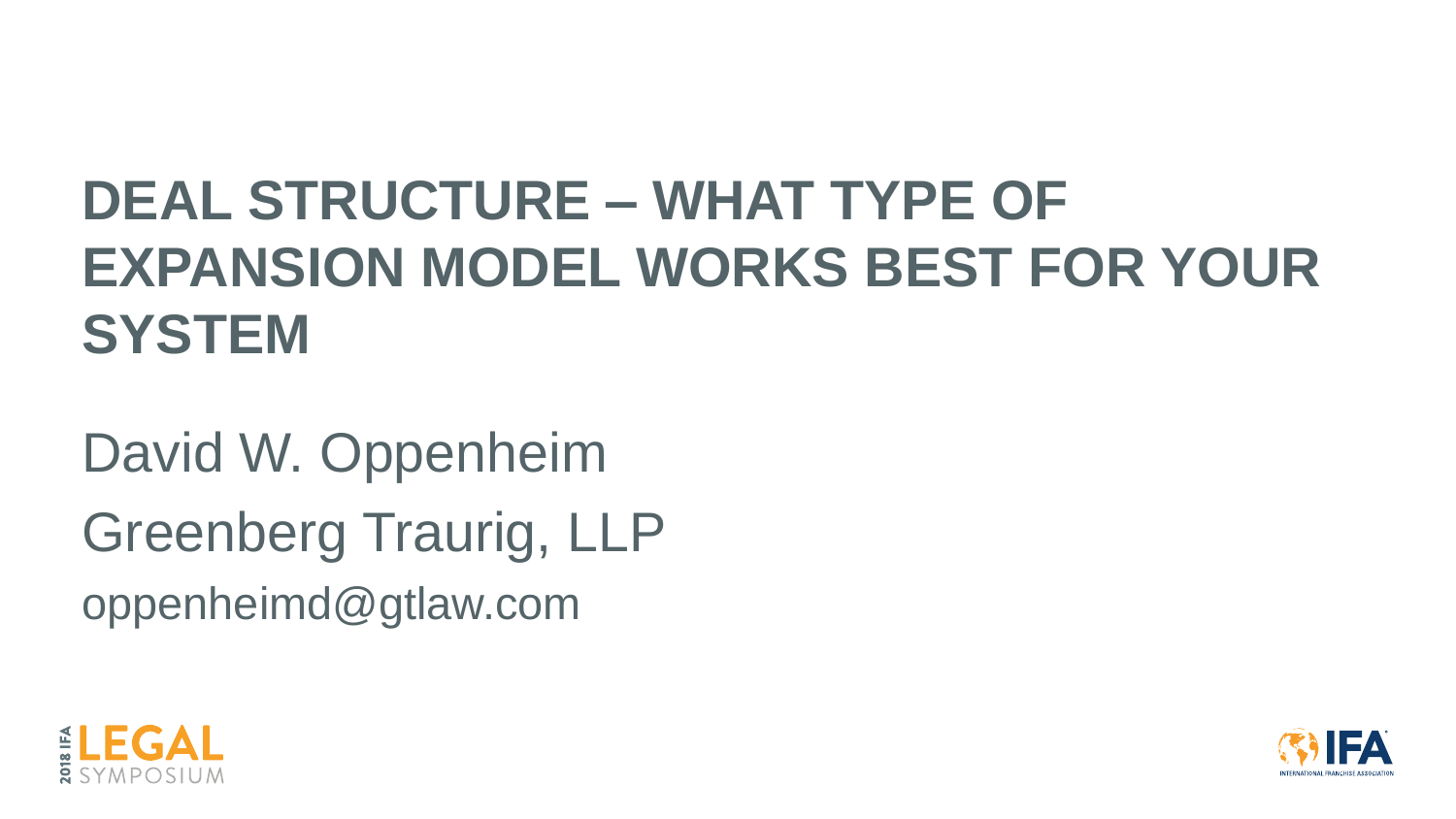## **DEAL STRUCTURE – WHAT TYPE OF EXPANSION MODEL WORKS BEST FOR YOUR SYSTEM**

David W. Oppenheim Greenberg Traurig, LLP oppenheimd@gtlaw.com



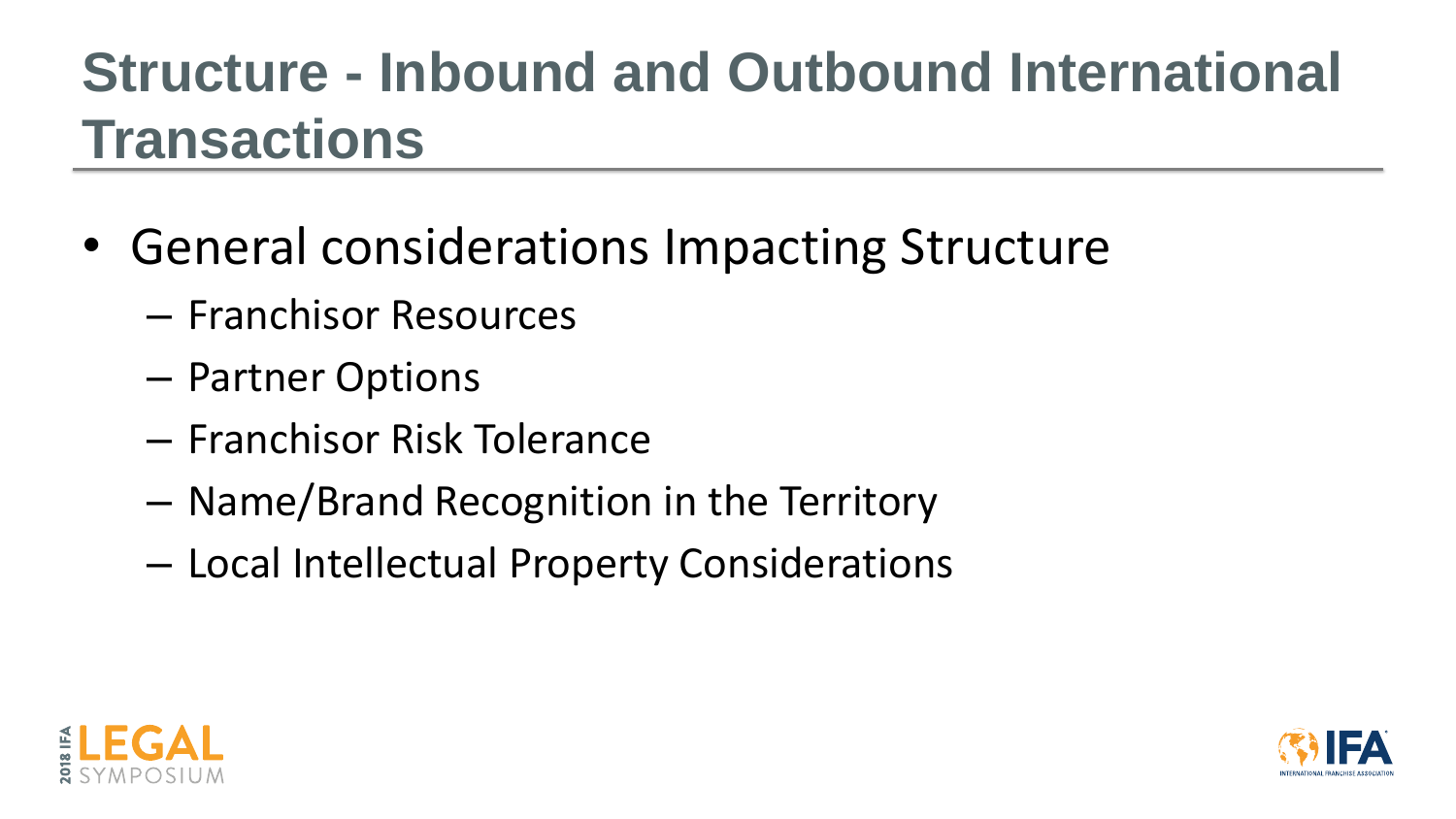## **Structure - Inbound and Outbound International Transactions**

- General considerations Impacting Structure
	- Franchisor Resources
	- Partner Options
	- Franchisor Risk Tolerance
	- Name/Brand Recognition in the Territory
	- Local Intellectual Property Considerations





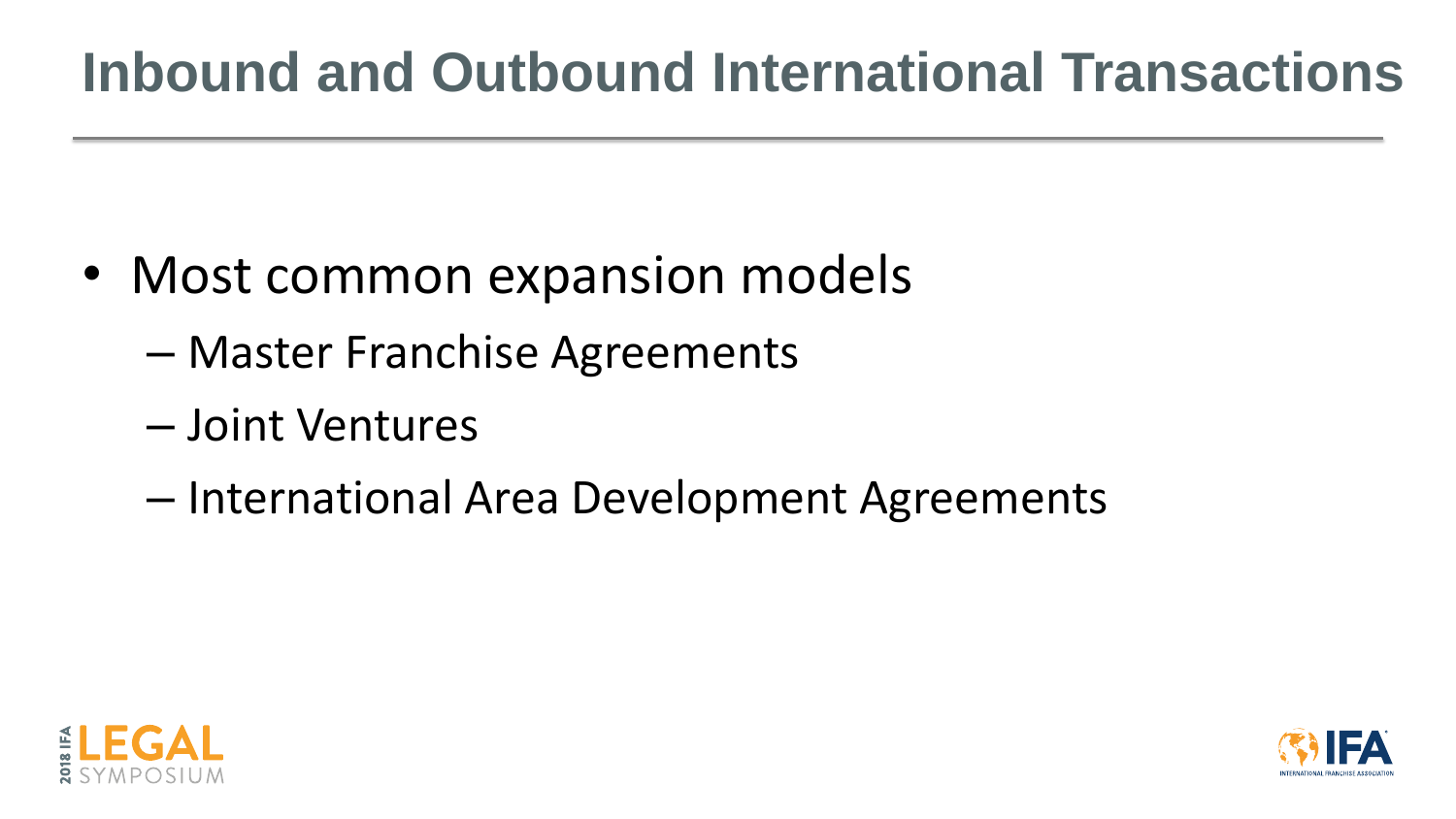## **Inbound and Outbound International Transactions**

- Most common expansion models
	- Master Franchise Agreements
	- Joint Ventures
	- International Area Development Agreements



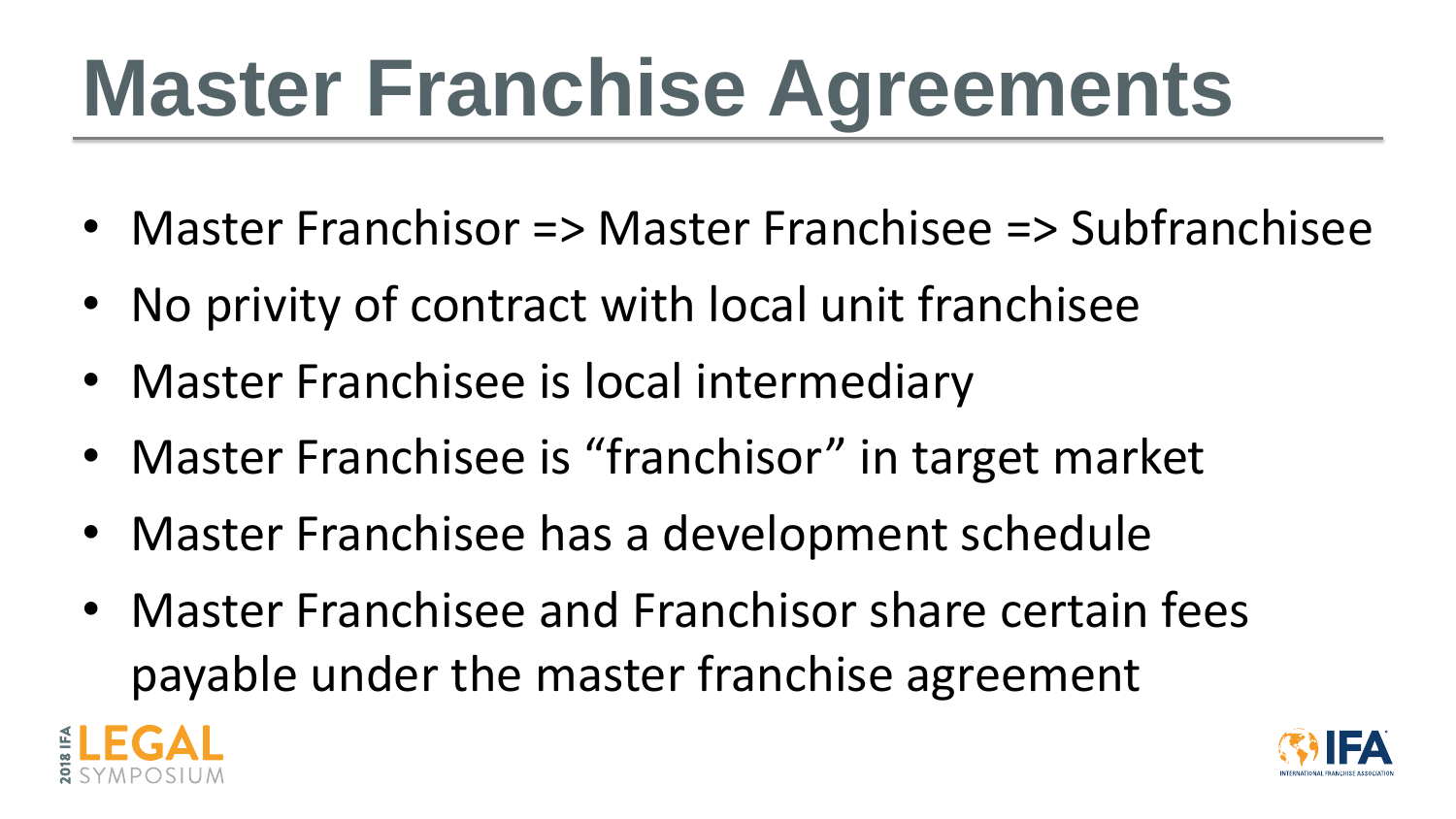# **Master Franchise Agreements**

- Master Franchisor => Master Franchisee => Subfranchisee
- No privity of contract with local unit franchisee
- Master Franchisee is local intermediary
- Master Franchisee is "franchisor" in target market
- Master Franchisee has a development schedule
- Master Franchisee and Franchisor share certain fees payable under the master franchise agreement





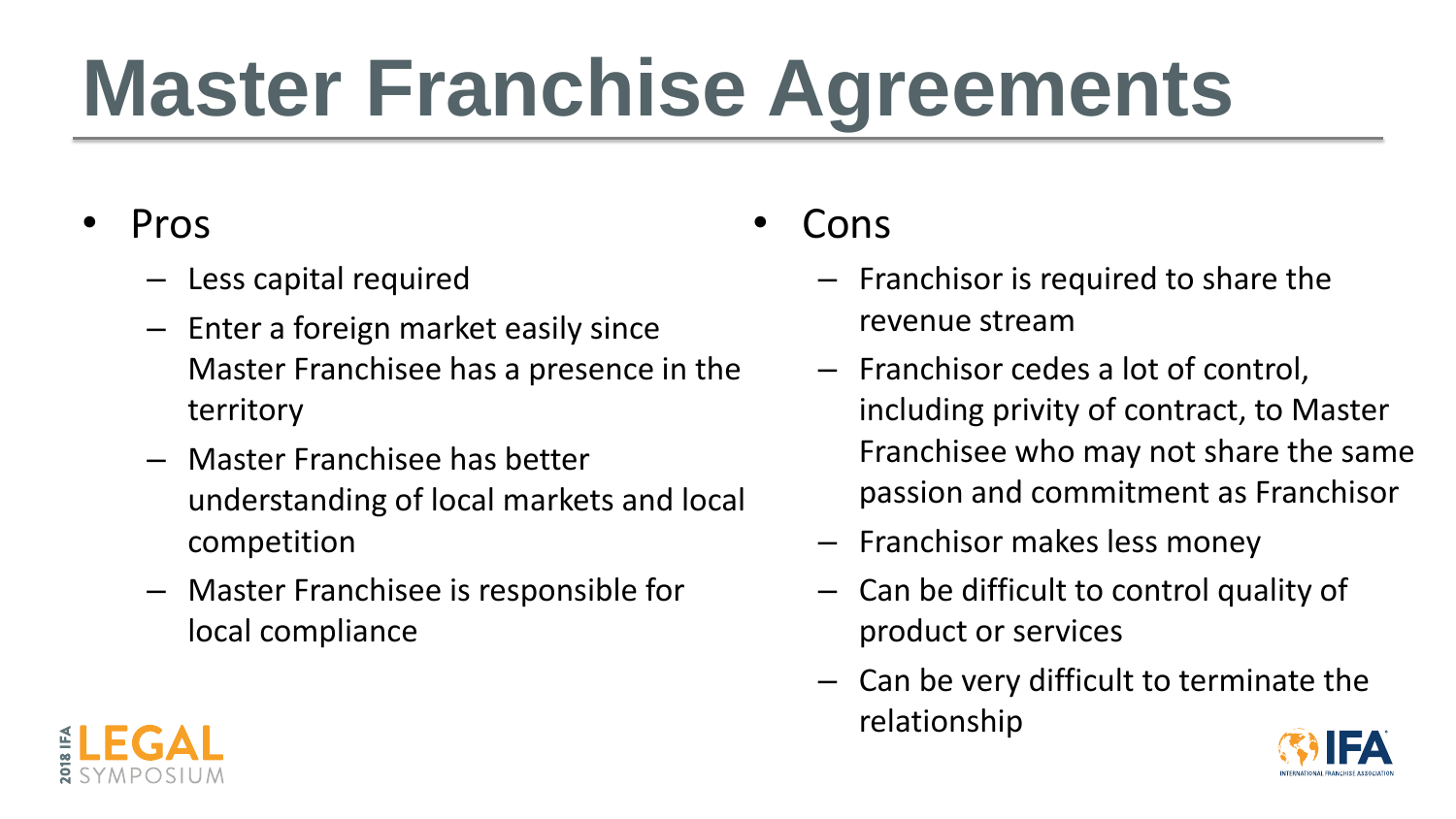# **Master Franchise Agreements**

- Pros
	- Less capital required
	- Enter a foreign market easily since Master Franchisee has a presence in the territory
	- Master Franchisee has better understanding of local markets and local competition
	- Master Franchisee is responsible for local compliance
- Cons
	- Franchisor is required to share the revenue stream
	- Franchisor cedes a lot of control, including privity of contract, to Master Franchisee who may not share the same passion and commitment as Franchisor
	- Franchisor makes less money
	- Can be difficult to control quality of product or services
	- Can be very difficult to terminate the relationship





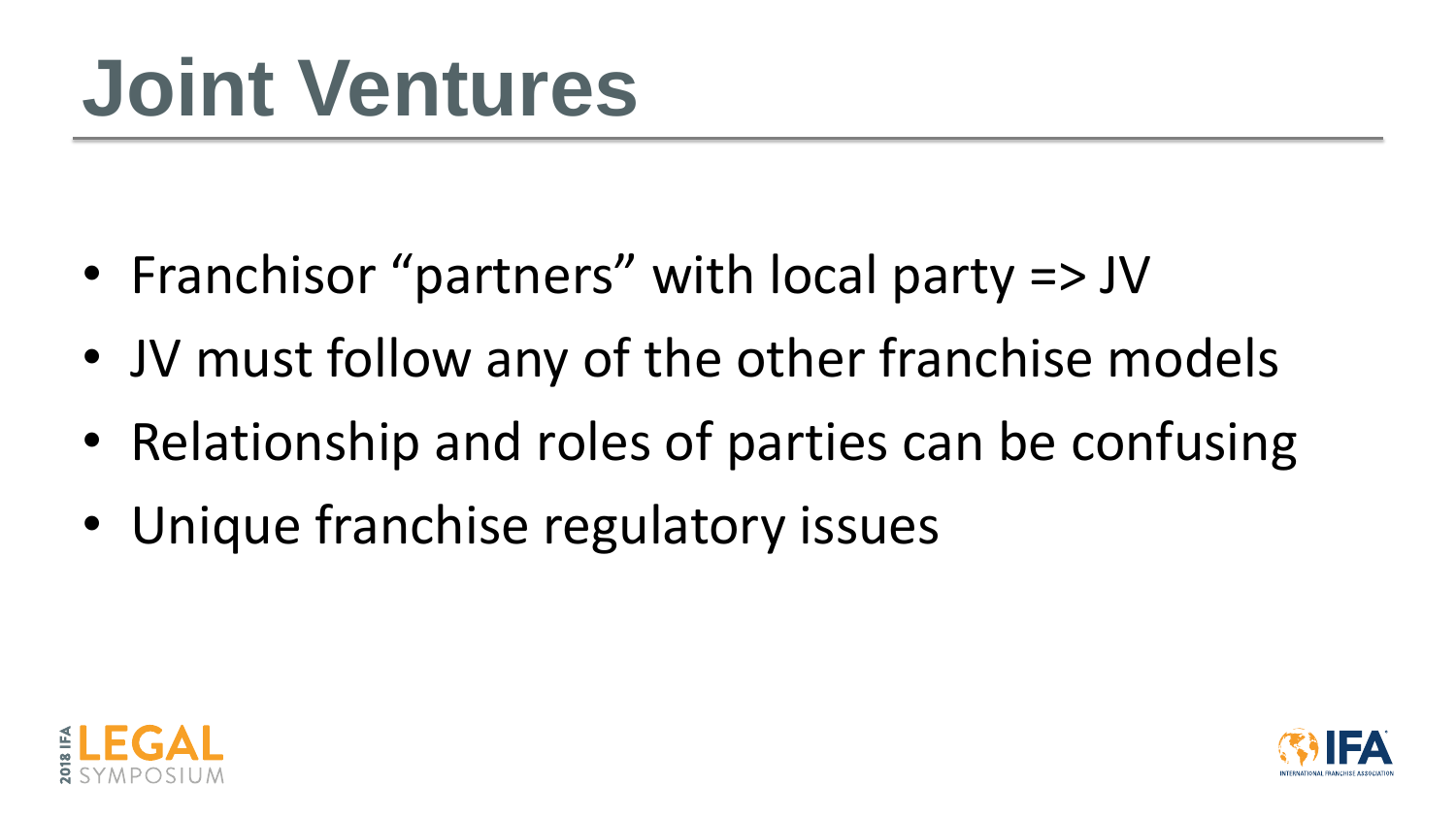## **Joint Ventures**

- Franchisor "partners" with local party => JV
- JV must follow any of the other franchise models
- Relationship and roles of parties can be confusing
- Unique franchise regulatory issues



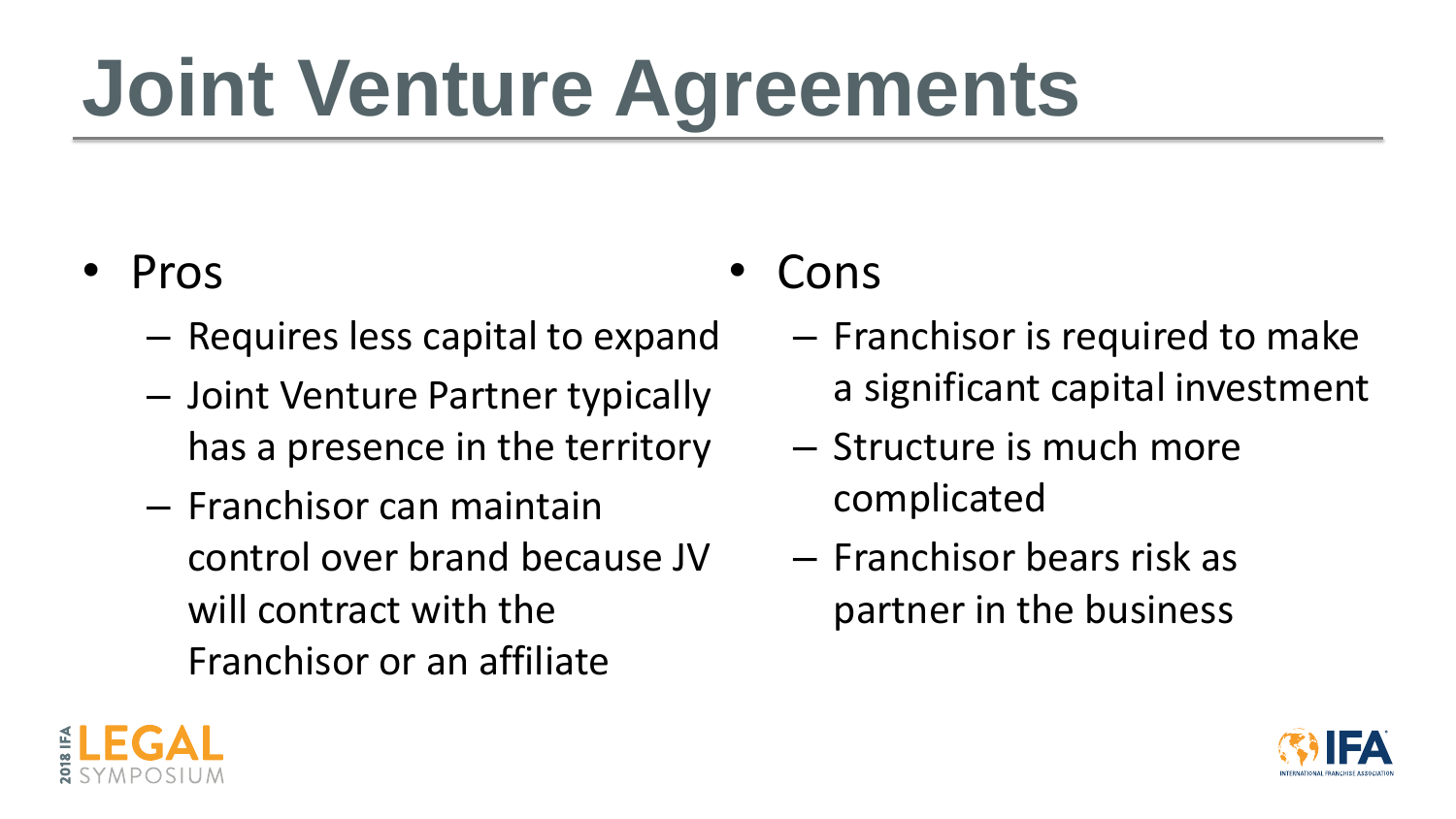# **Joint Venture Agreements**

- Pros
	- Requires less capital to expand
	- Joint Venture Partner typically has a presence in the territory
	- Franchisor can maintain control over brand because JV will contract with the Franchisor or an affiliate
- Cons
	- Franchisor is required to make a significant capital investment
	- Structure is much more complicated
	- Franchisor bears risk as partner in the business



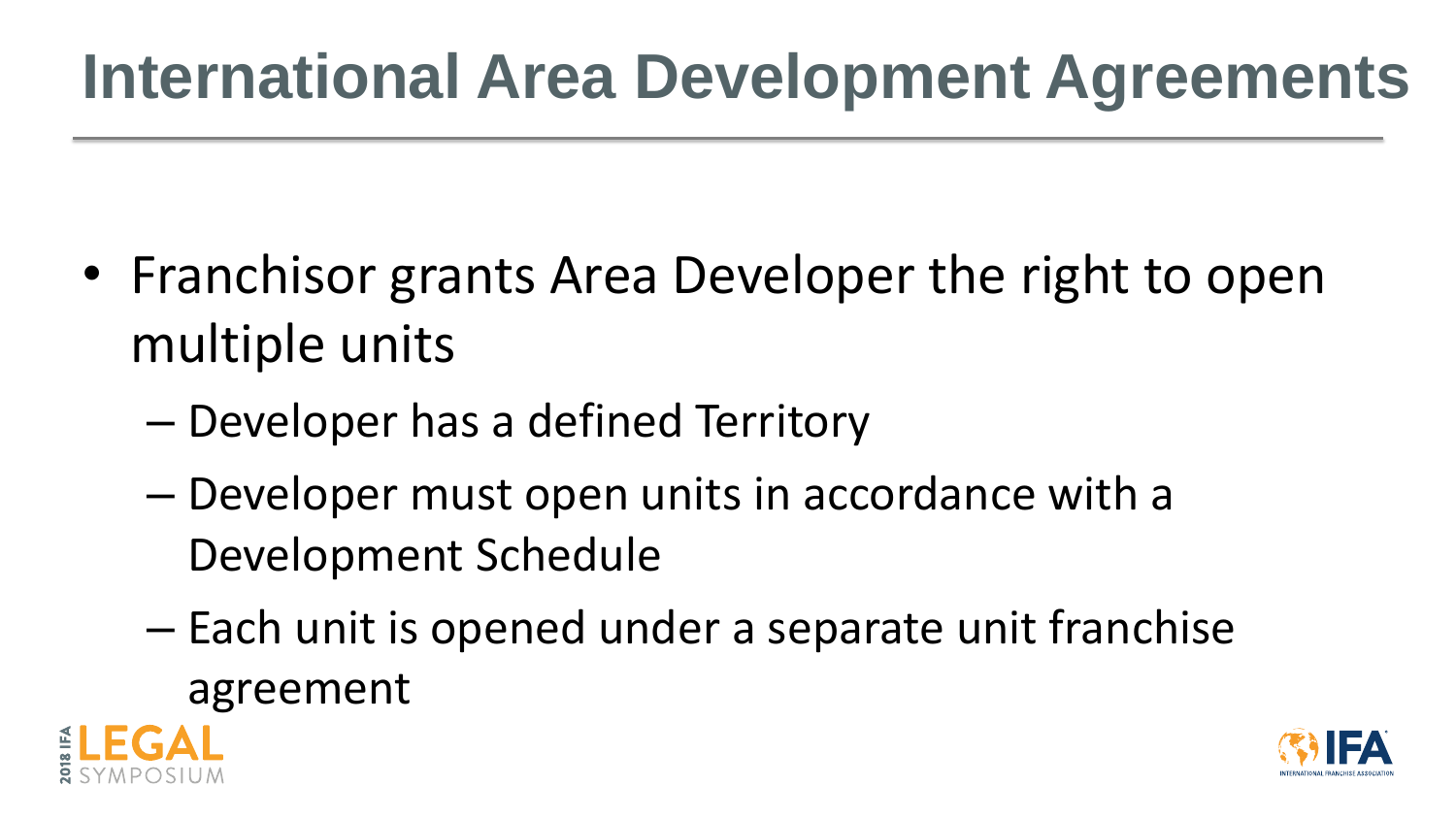## **International Area Development Agreements**

- Franchisor grants Area Developer the right to open multiple units
	- Developer has a defined Territory
	- Developer must open units in accordance with a Development Schedule
	- Each unit is opened under a separate unit franchise agreement







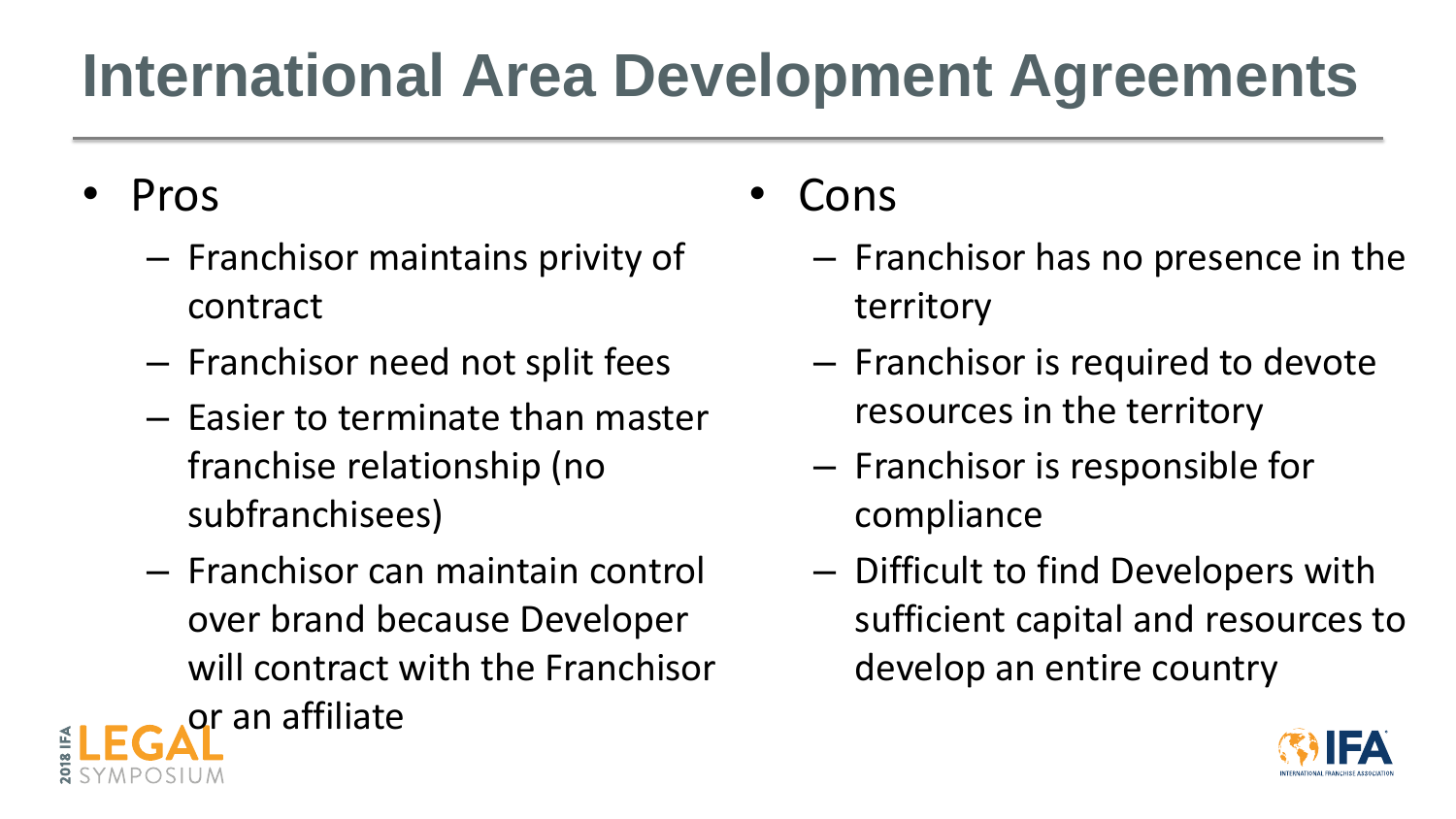## **International Area Development Agreements**

- Pros
	- Franchisor maintains privity of contract
	- Franchisor need not split fees
	- Easier to terminate than master franchise relationship (no subfranchisees)
	- Franchisor can maintain control over brand because Developer will contract with the Franchisor or an affiliate
- Cons
	- Franchisor has no presence in the territory
	- Franchisor is required to devote resources in the territory
	- Franchisor is responsible for compliance
	- Difficult to find Developers with sufficient capital and resources to develop an entire country

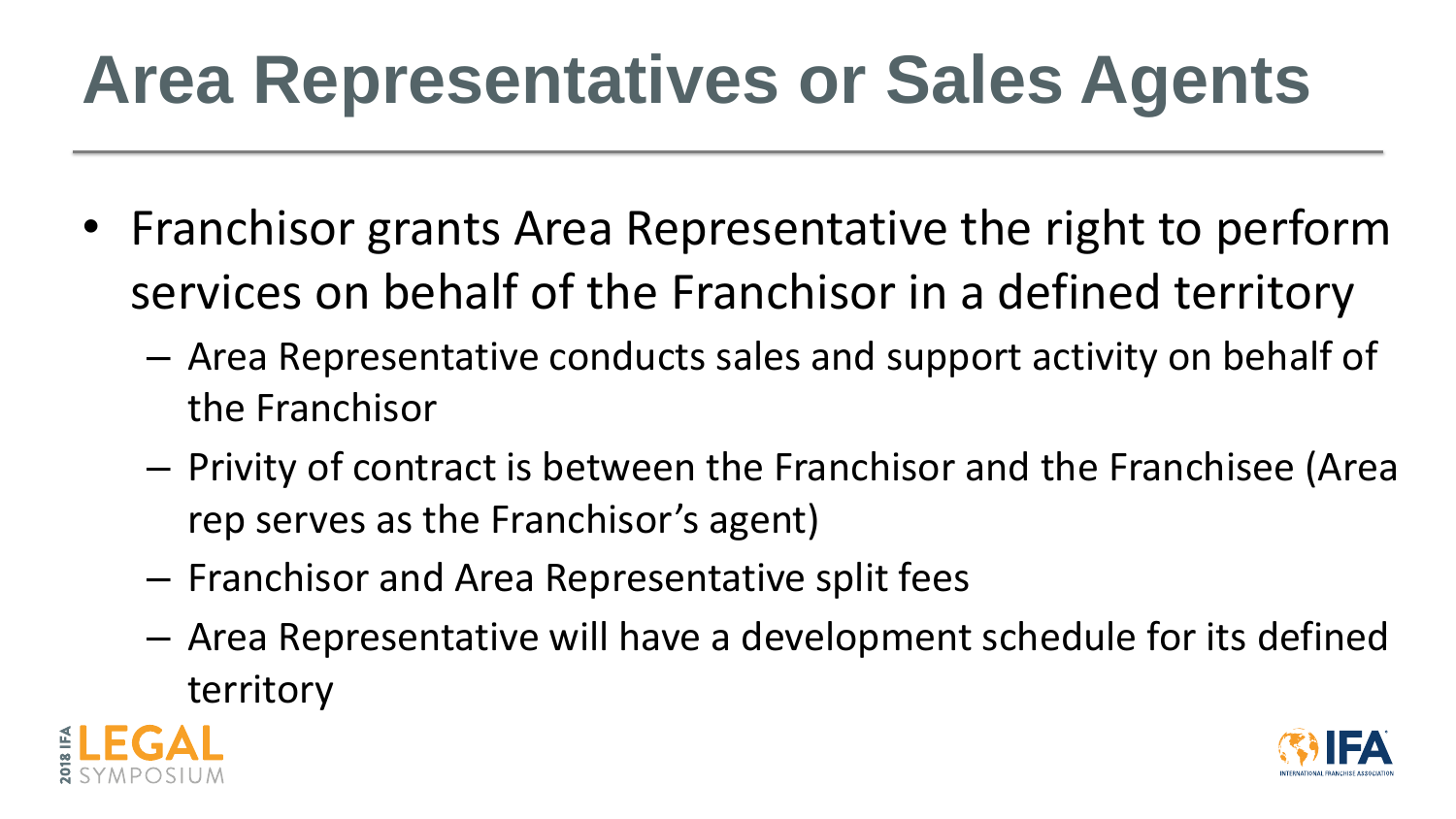## **Area Representatives or Sales Agents**

- Franchisor grants Area Representative the right to perform services on behalf of the Franchisor in a defined territory
	- Area Representative conducts sales and support activity on behalf of the Franchisor
	- Privity of contract is between the Franchisor and the Franchisee (Area rep serves as the Franchisor's agent)
	- Franchisor and Area Representative split fees
	- Area Representative will have a development schedule for its defined territory



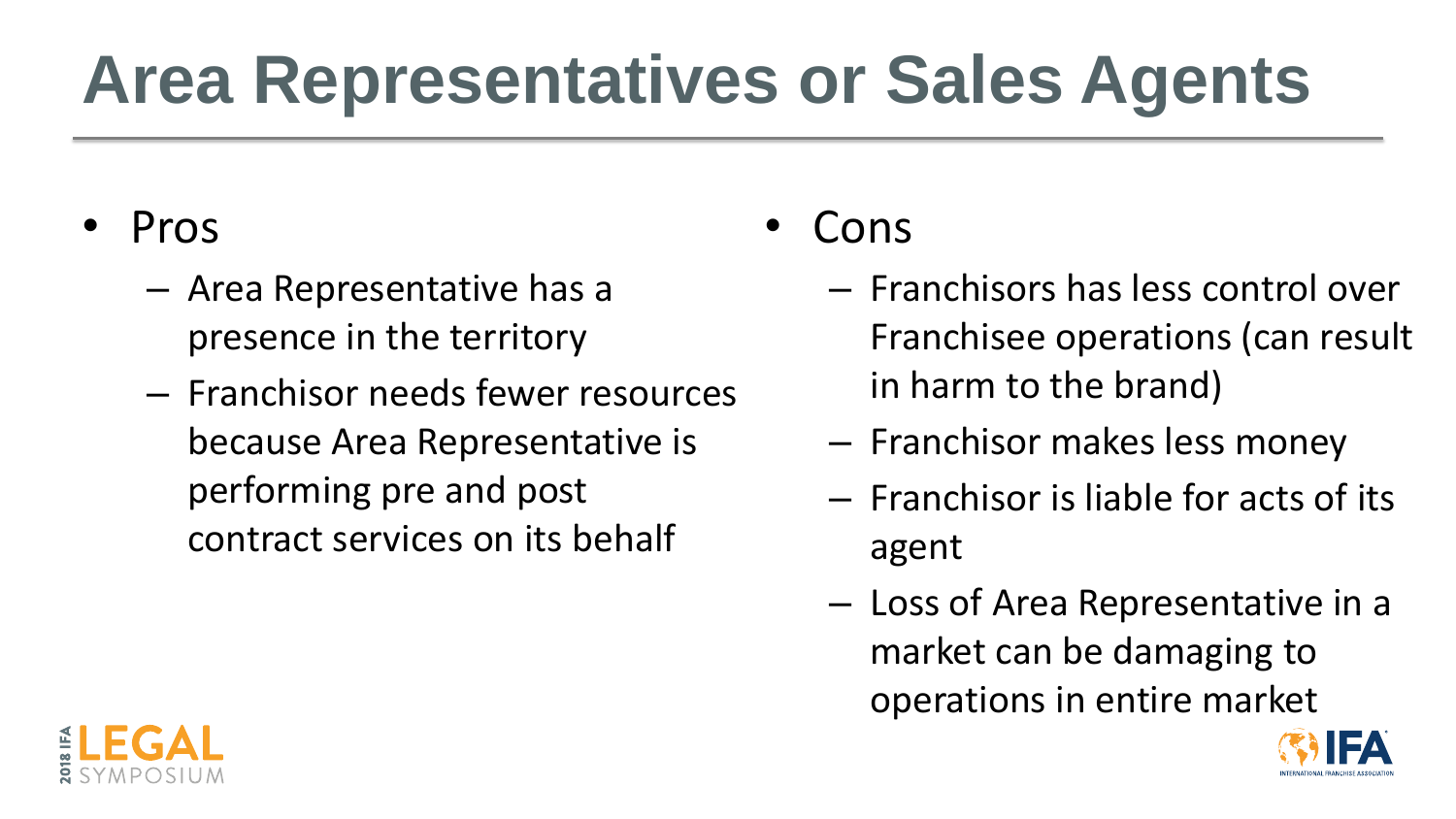## **Area Representatives or Sales Agents**

- Pros
	- Area Representative has a presence in the territory
	- Franchisor needs fewer resources because Area Representative is performing pre and post contract services on its behalf

# Franchisee operations (can result



- Cons
	- Franchisors has less control over in harm to the brand)
	- Franchisor makes less money
	- Franchisor is liable for acts of its agent
	- Loss of Area Representative in a market can be damaging to operations in entire market

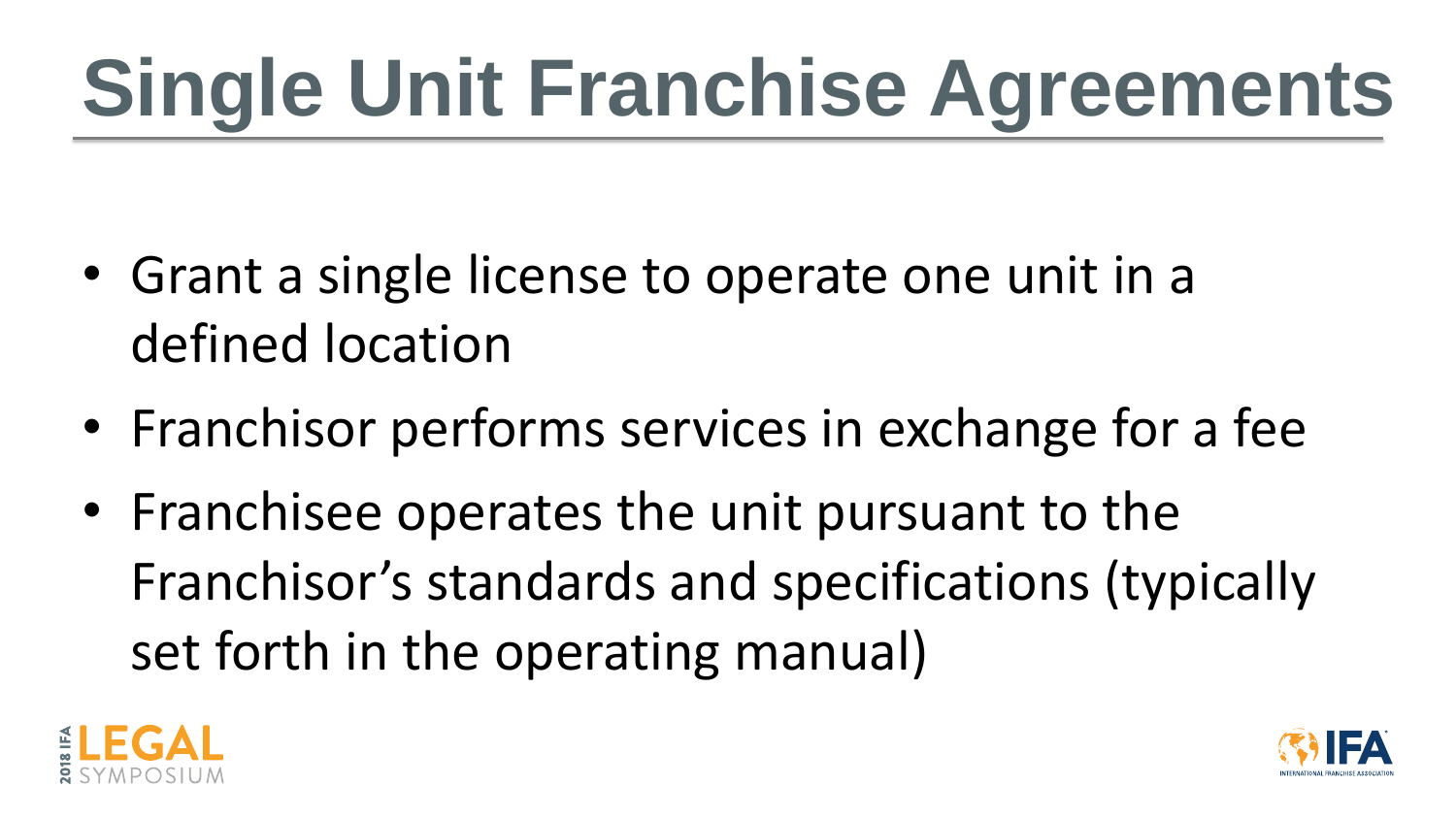# **Single Unit Franchise Agreements**

- Grant a single license to operate one unit in a defined location
- Franchisor performs services in exchange for a fee
- Franchisee operates the unit pursuant to the Franchisor's standards and specifications (typically set forth in the operating manual)



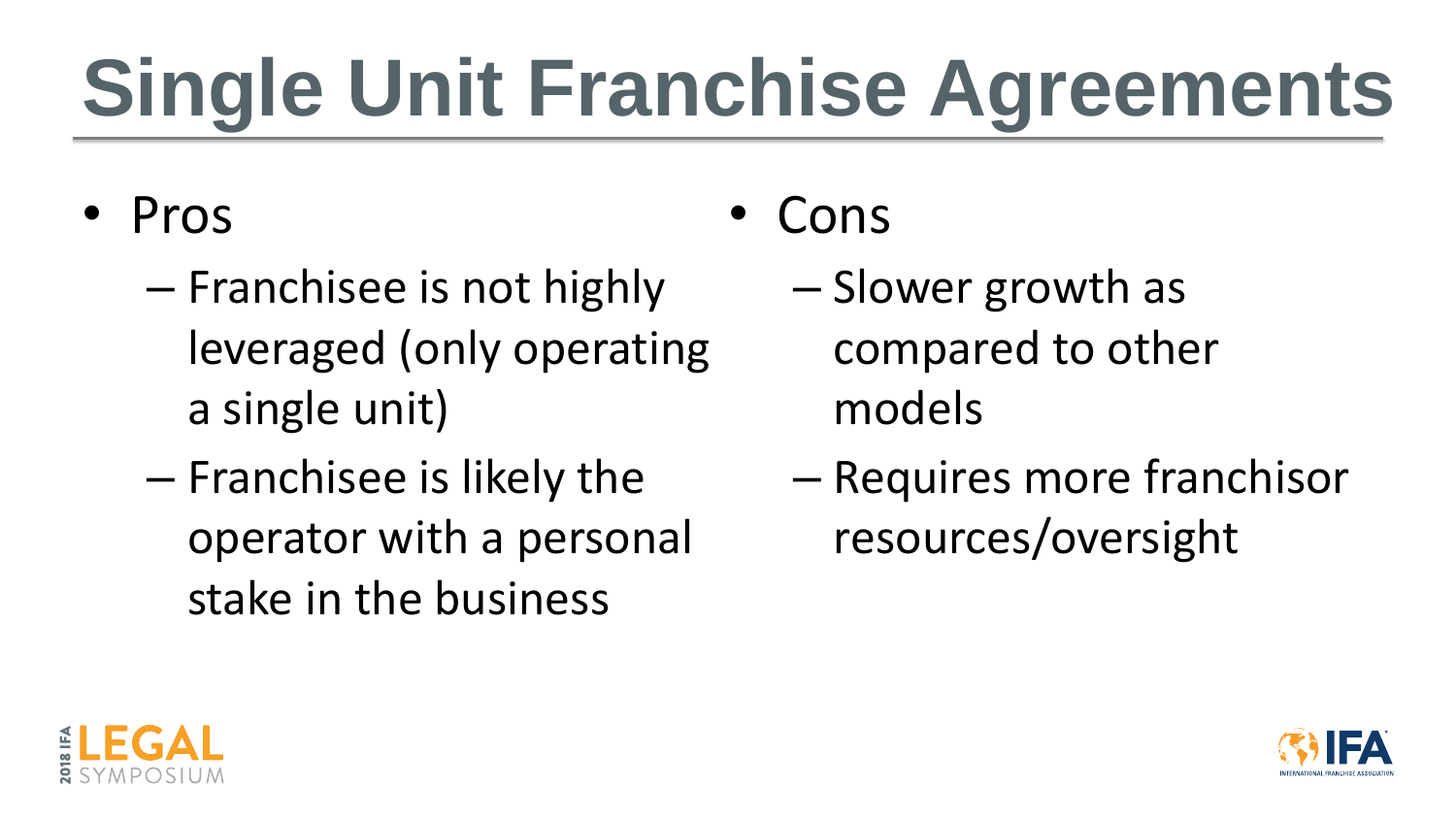# **Single Unit Franchise Agreements**

- Pros
	- Franchisee is not highly leveraged (only operating a single unit)
	- Franchisee is likely the operator with a personal stake in the business
- Cons
	- Slower growth as compared to other models
	- Requires more franchisor resources/oversight



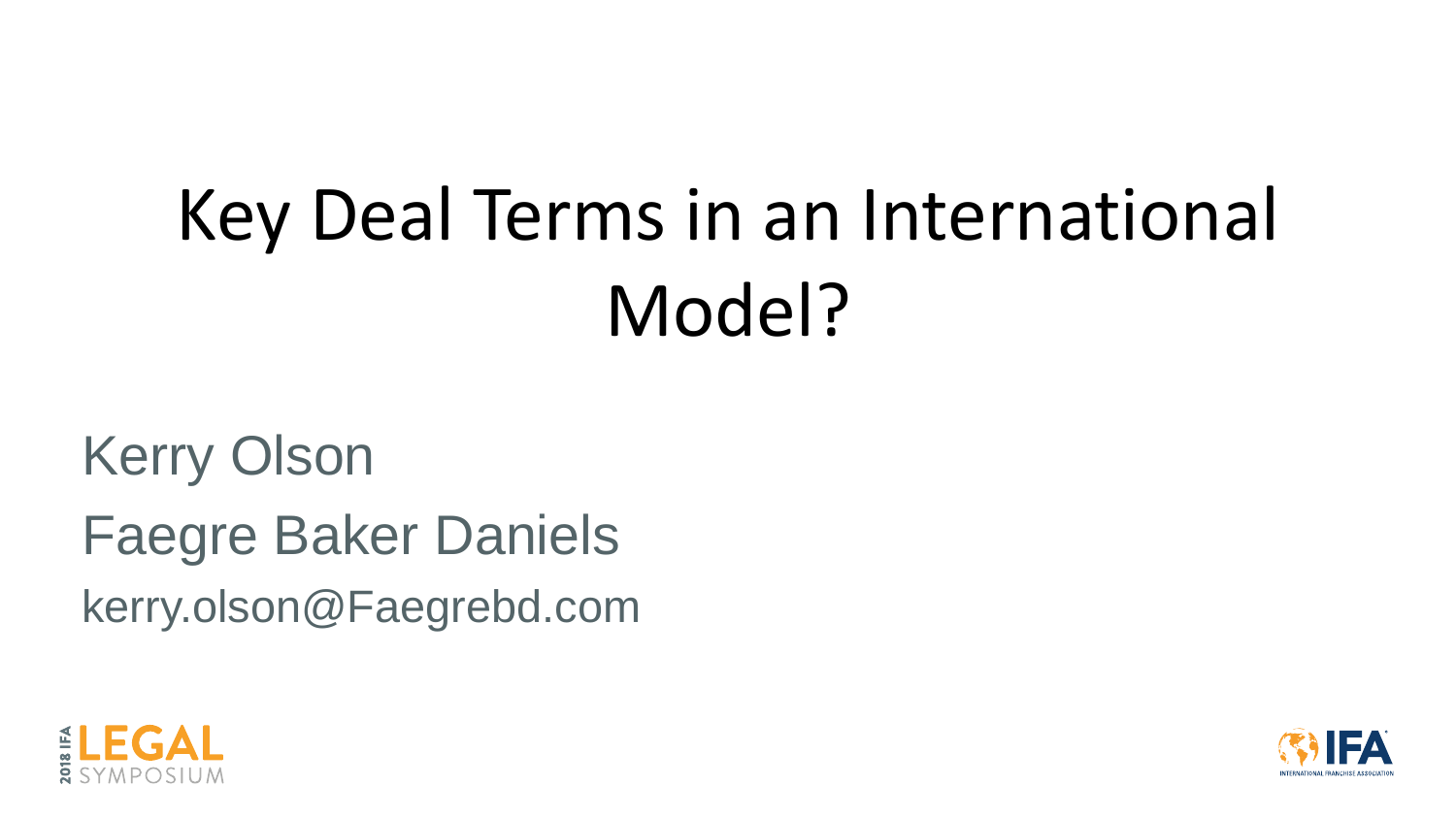## Key Deal Terms in an International Model?

## Kerry Olson Faegre Baker Daniels kerry.olson@Faegrebd.com



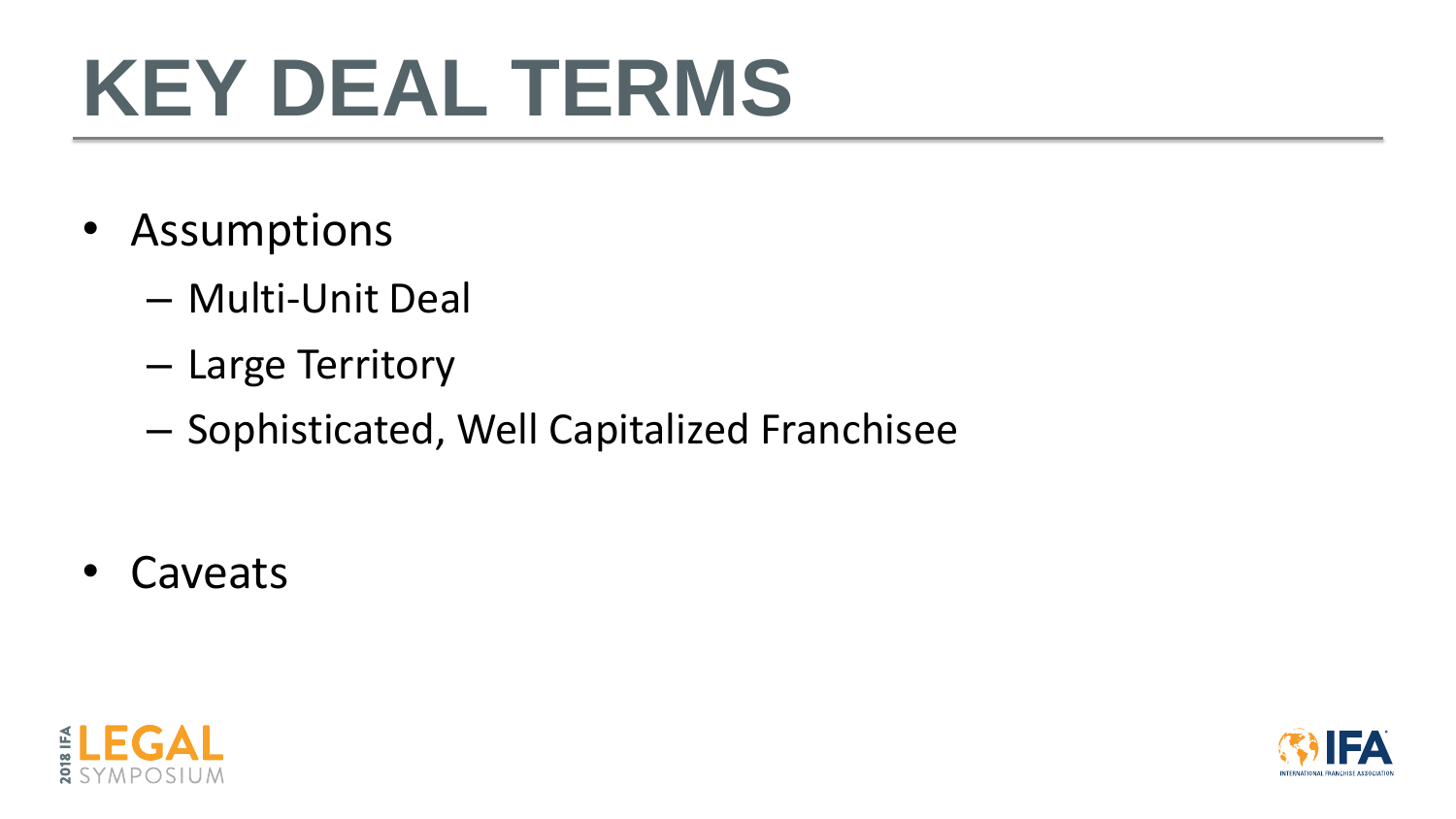- Assumptions
	- Multi-Unit Deal
	- Large Territory
	- Sophisticated, Well Capitalized Franchisee

• Caveats



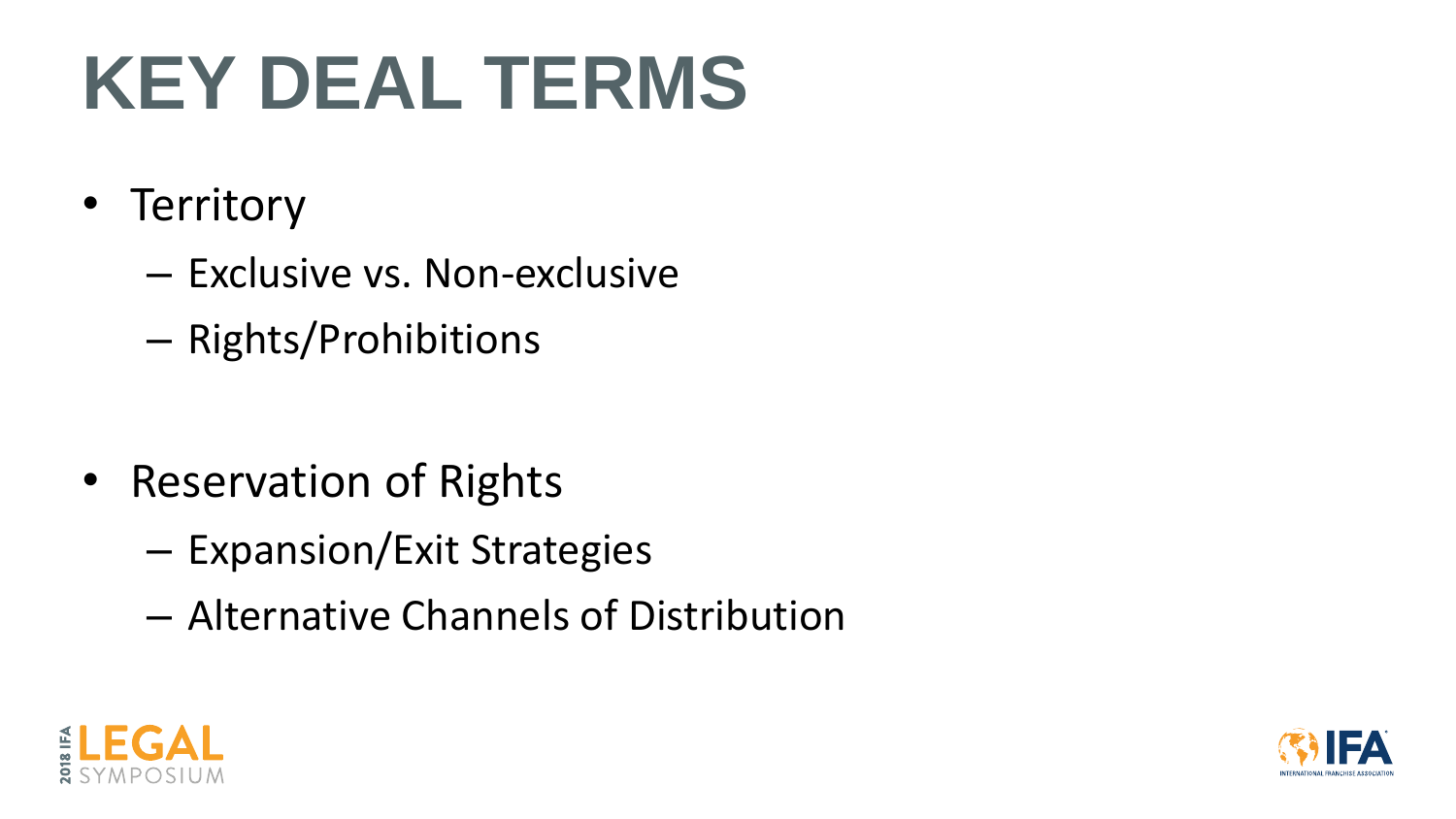- Territory
	- Exclusive vs. Non-exclusive
	- Rights/Prohibitions

- Reservation of Rights
	- Expansion/Exit Strategies
	- Alternative Channels of Distribution



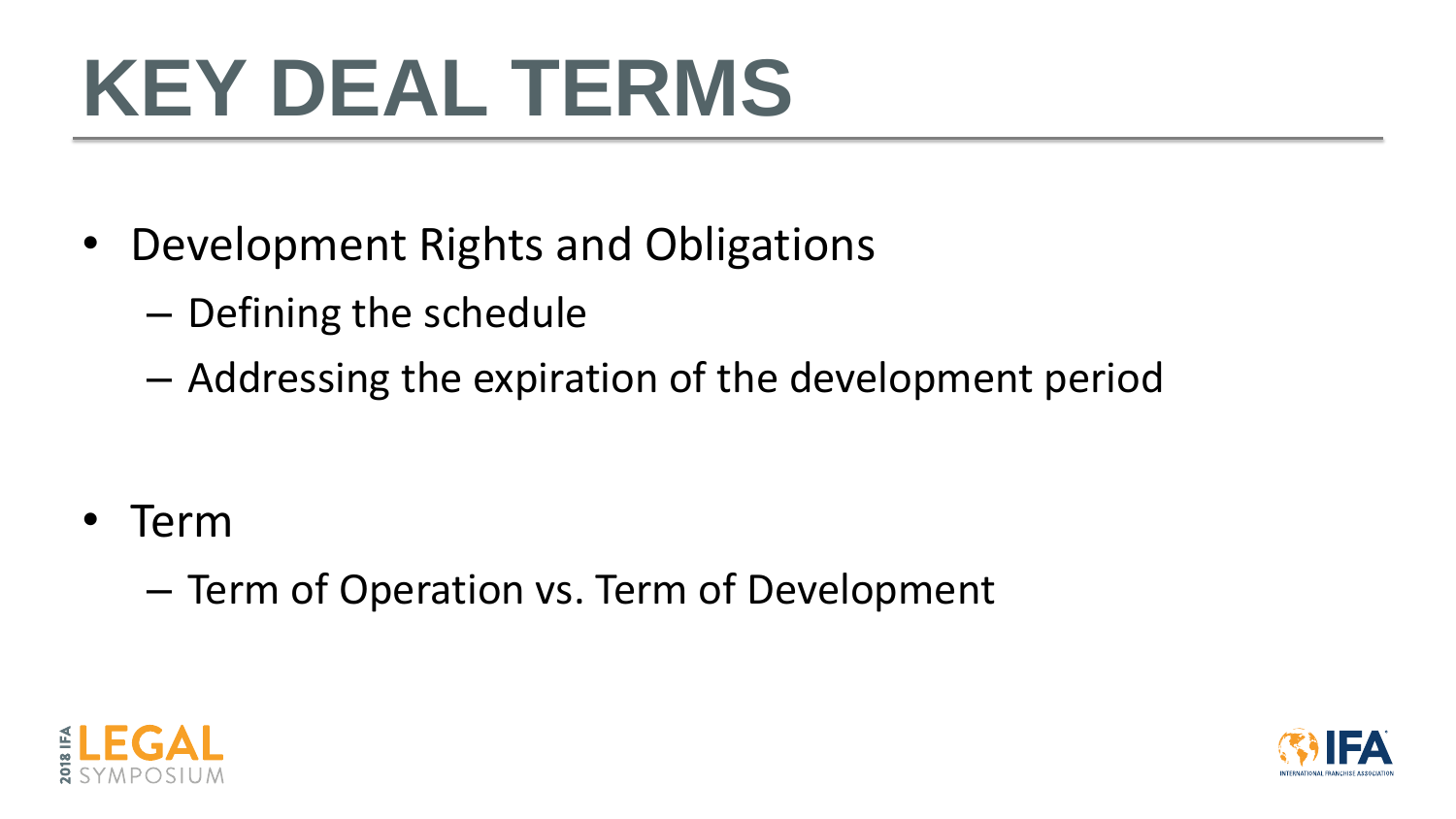- Development Rights and Obligations
	- Defining the schedule
	- Addressing the expiration of the development period

- Term
	- Term of Operation vs. Term of Development



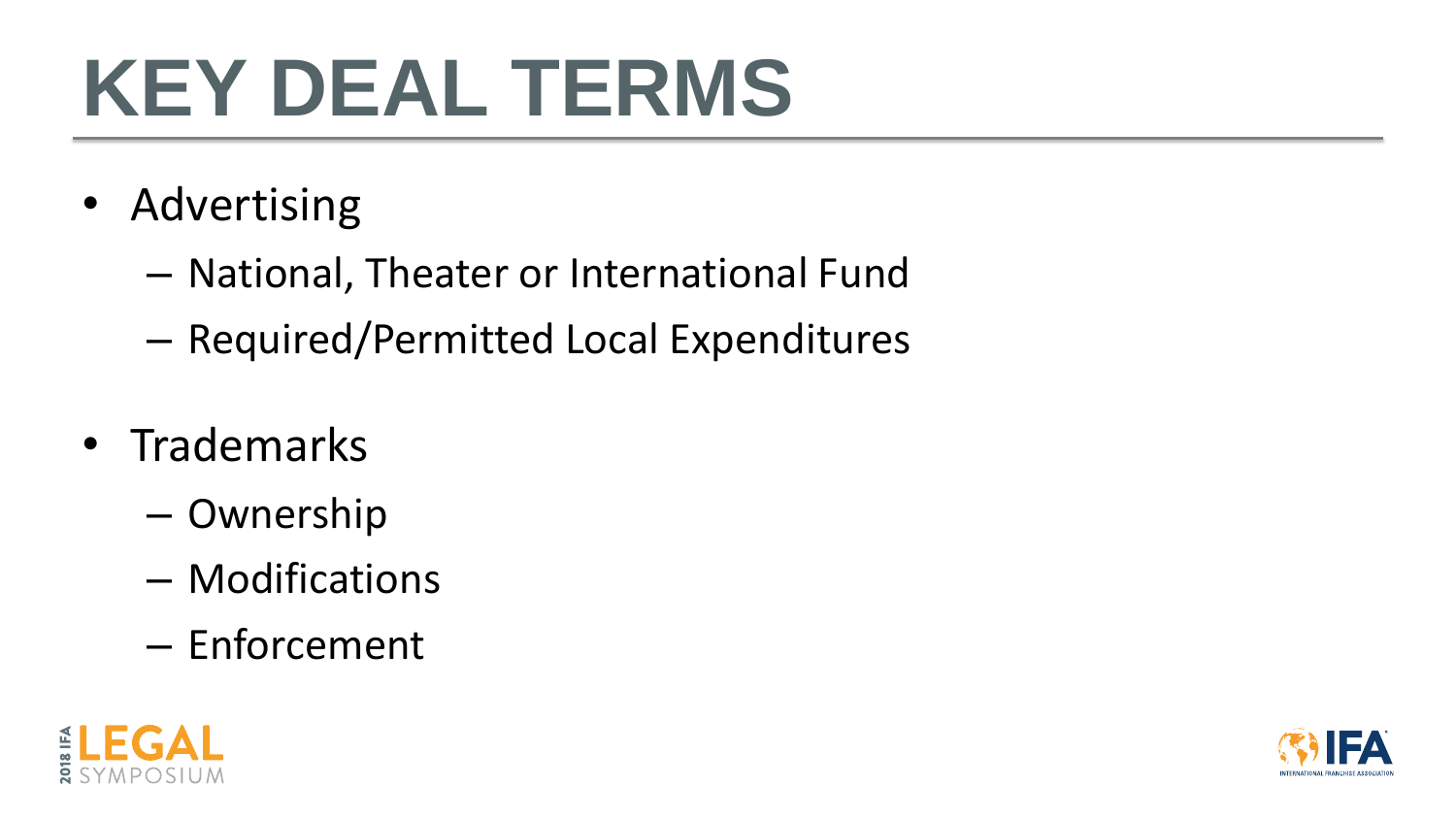- Advertising
	- National, Theater or International Fund
	- Required/Permitted Local Expenditures
- Trademarks
	- Ownership
	- Modifications
	- Enforcement



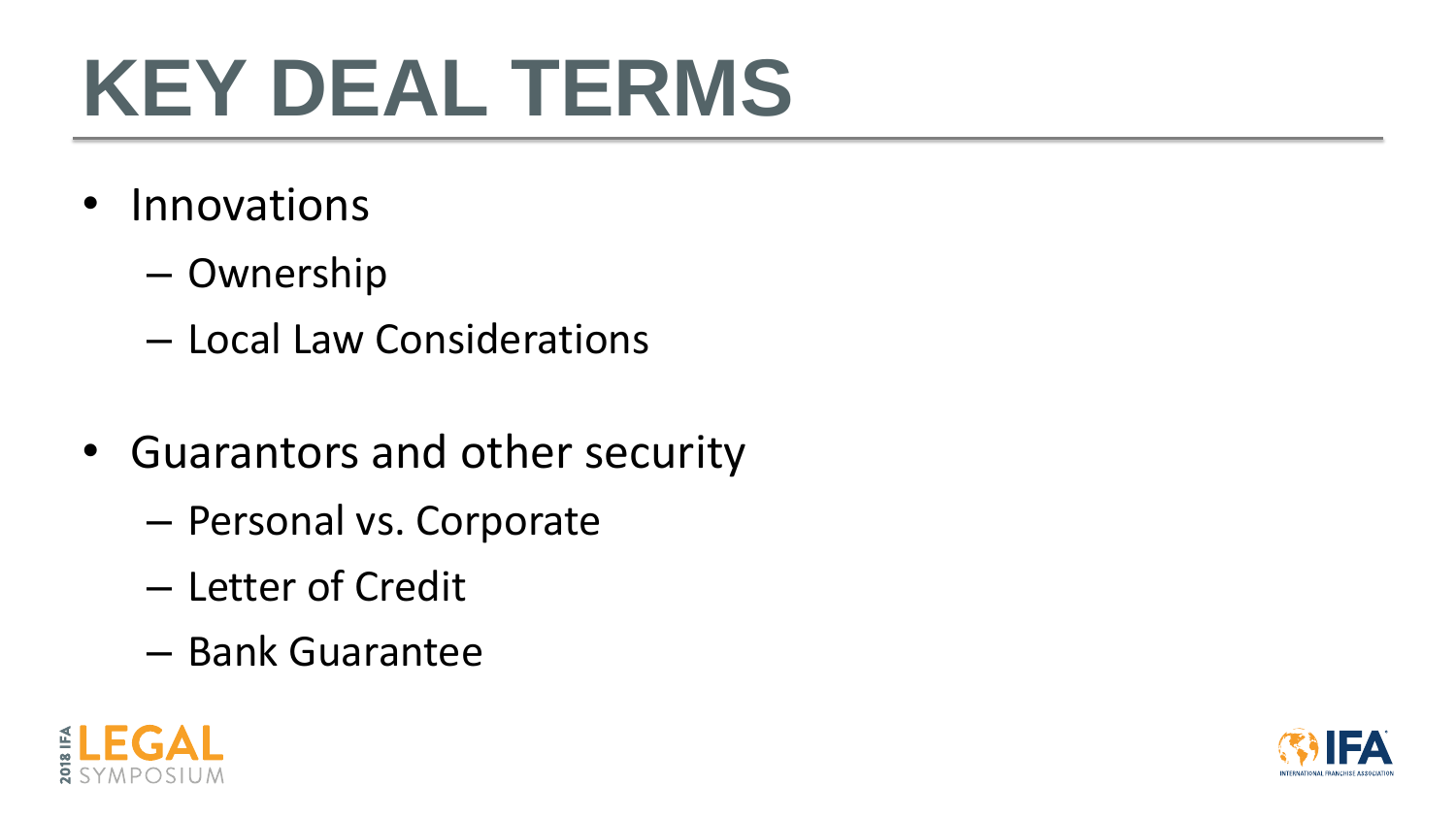- Innovations
	- Ownership
	- Local Law Considerations
- Guarantors and other security
	- Personal vs. Corporate
	- Letter of Credit
	- Bank Guarantee



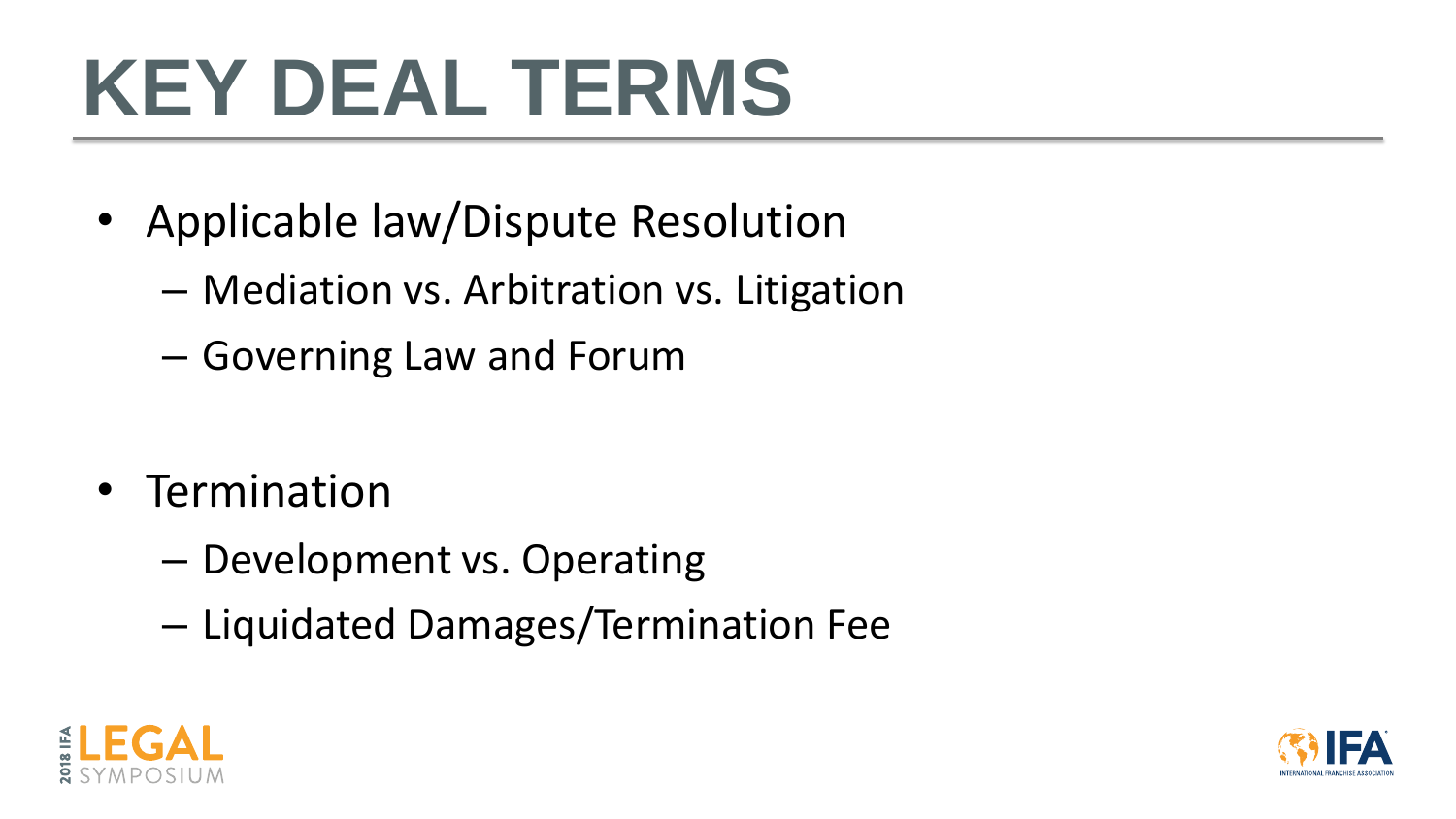- Applicable law/Dispute Resolution
	- Mediation vs. Arbitration vs. Litigation
	- Governing Law and Forum

- Termination
	- Development vs. Operating
	- Liquidated Damages/Termination Fee



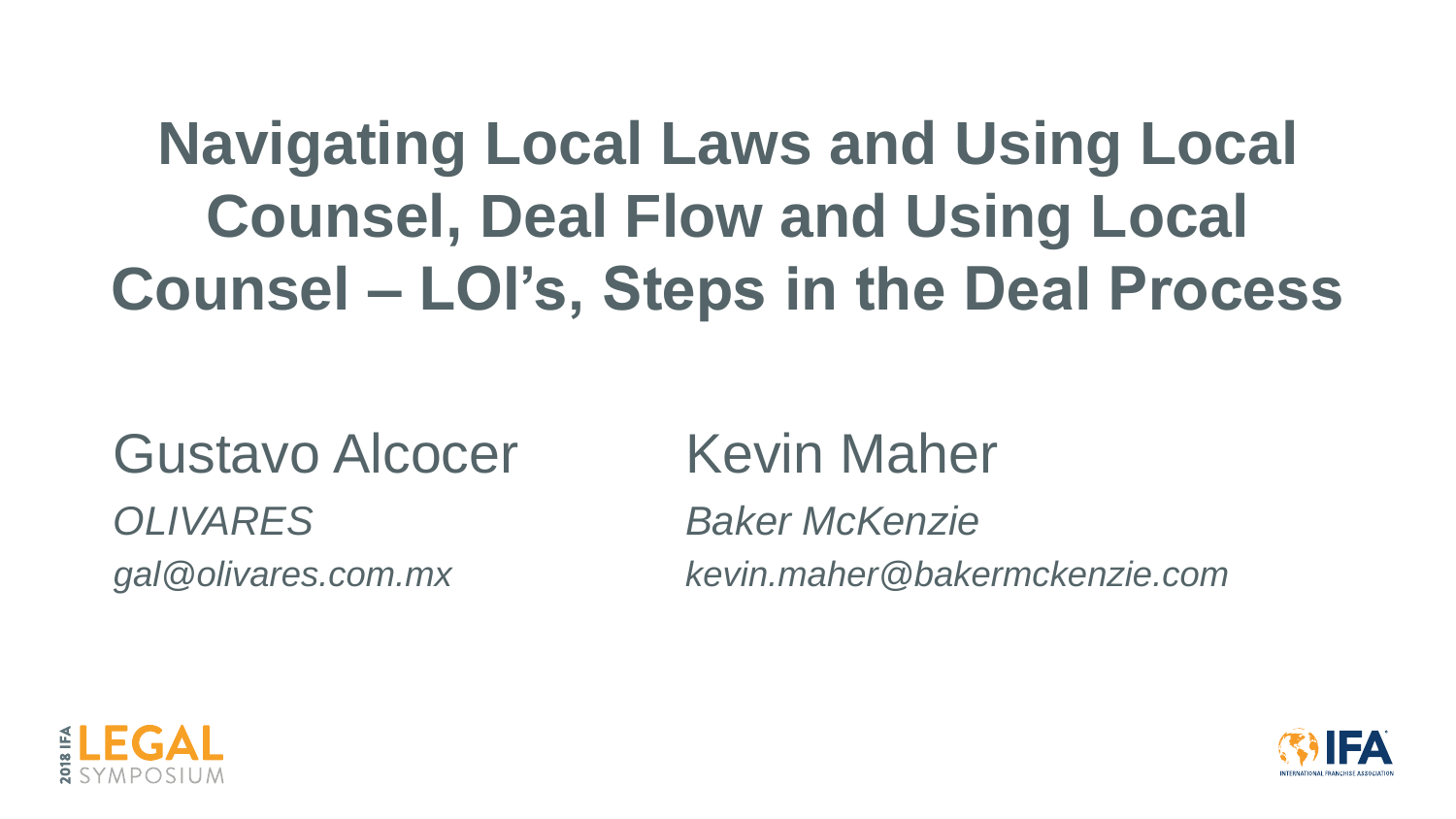## **Navigating Local Laws and Using Local Counsel, Deal Flow and Using Local Counsel – LOI's, Steps in the Deal Process**

## Gustavo Alcocer *OLIVARES gal@olivares.com.mx*

## Kevin Maher

*Baker McKenzie kevin.maher@bakermckenzie.com*



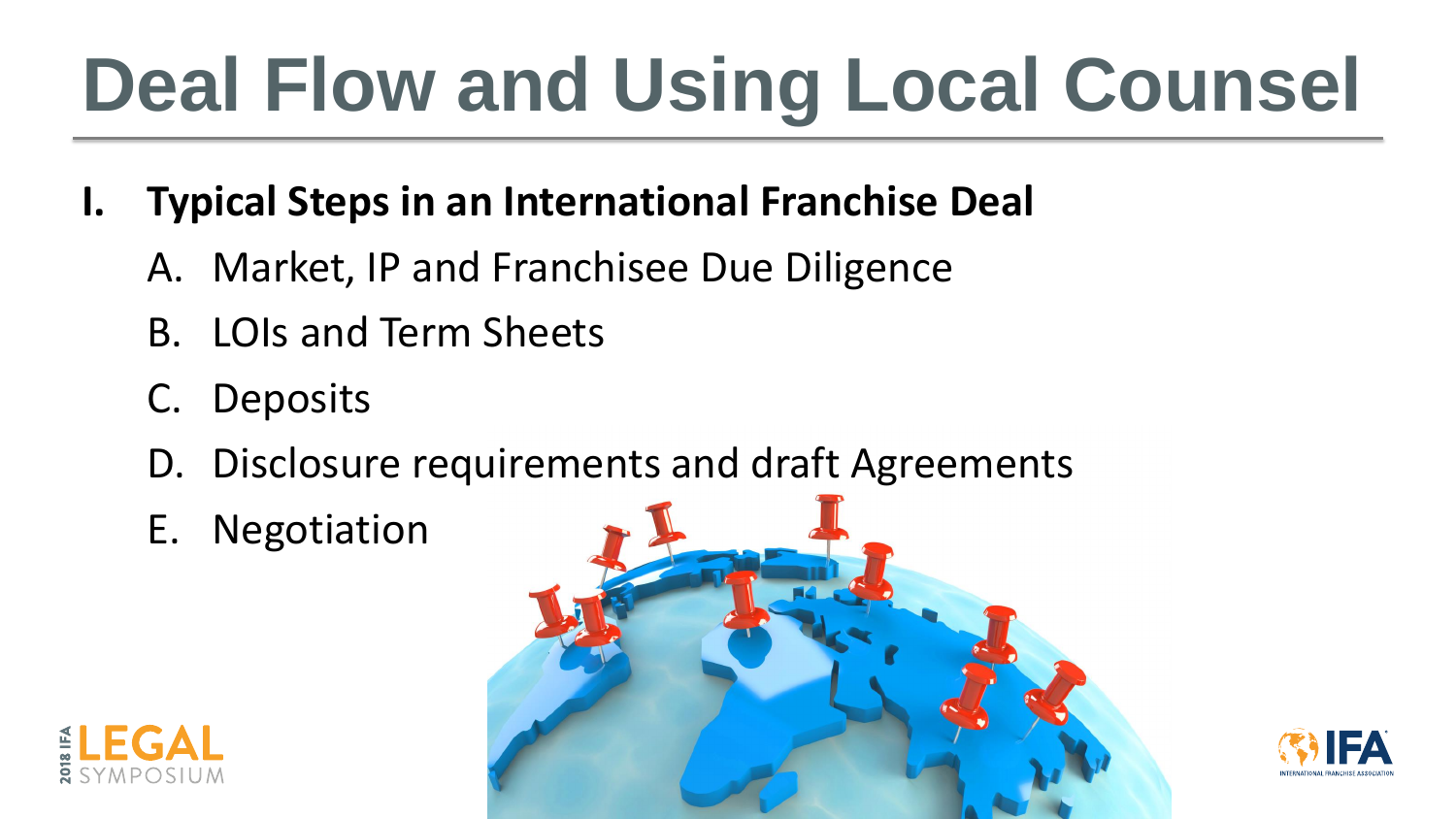# **Deal Flow and Using Local Counsel**

## **I. Typical Steps in an International Franchise Deal**

- A. Market, IP and Franchisee Due Diligence
- B. LOIs and Term Sheets
- C. Deposits
- D. Disclosure requirements and draft Agreements
- E. Negotiation





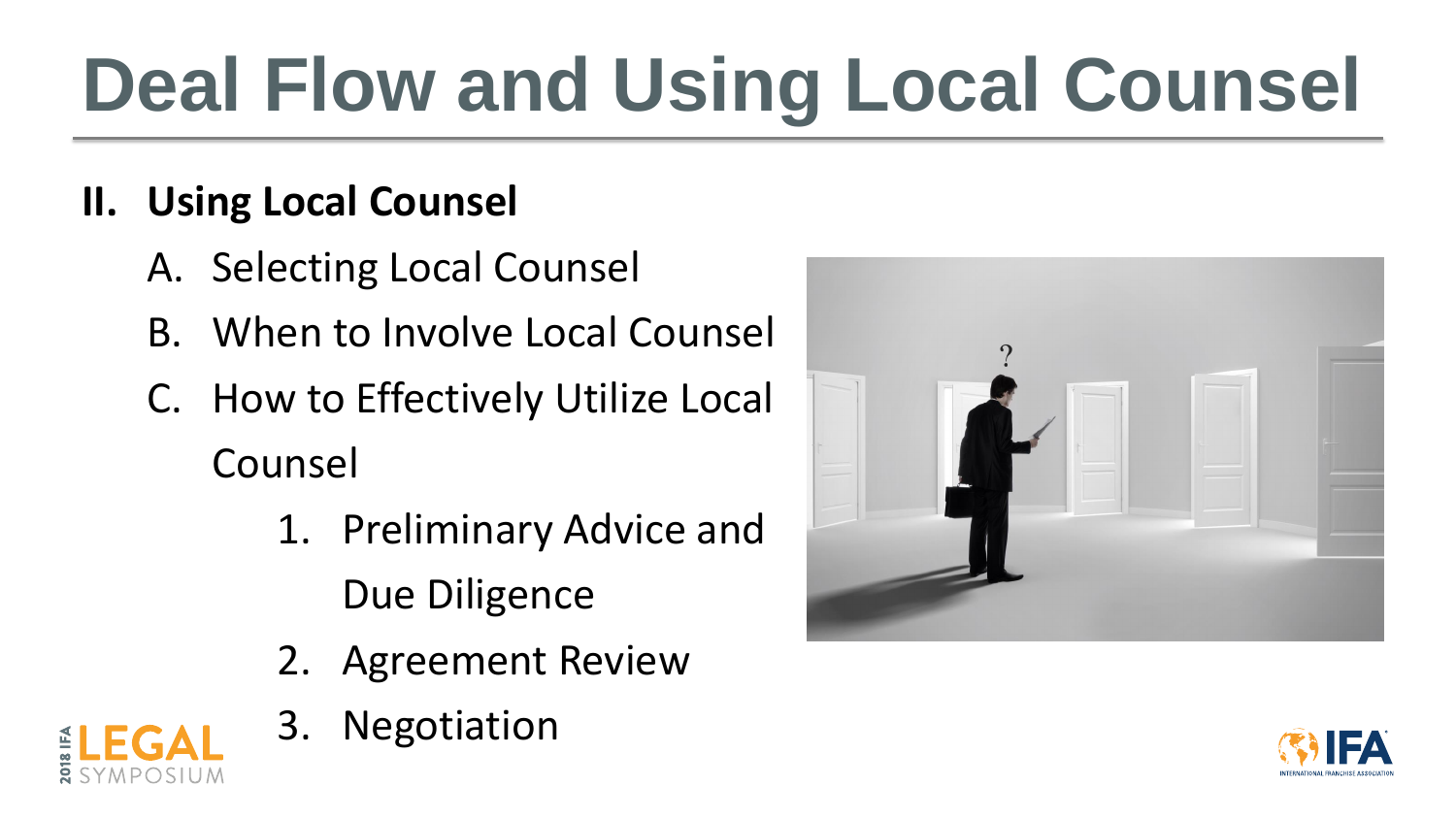# **Deal Flow and Using Local Counsel**

## **II. Using Local Counsel**

- A. Selecting Local Counsel
- B. When to Involve Local Counsel
- C. How to Effectively Utilize Local Counsel
	- 1. Preliminary Advice and Due Diligence
	- 2. Agreement Review
	- 3. Negotiation



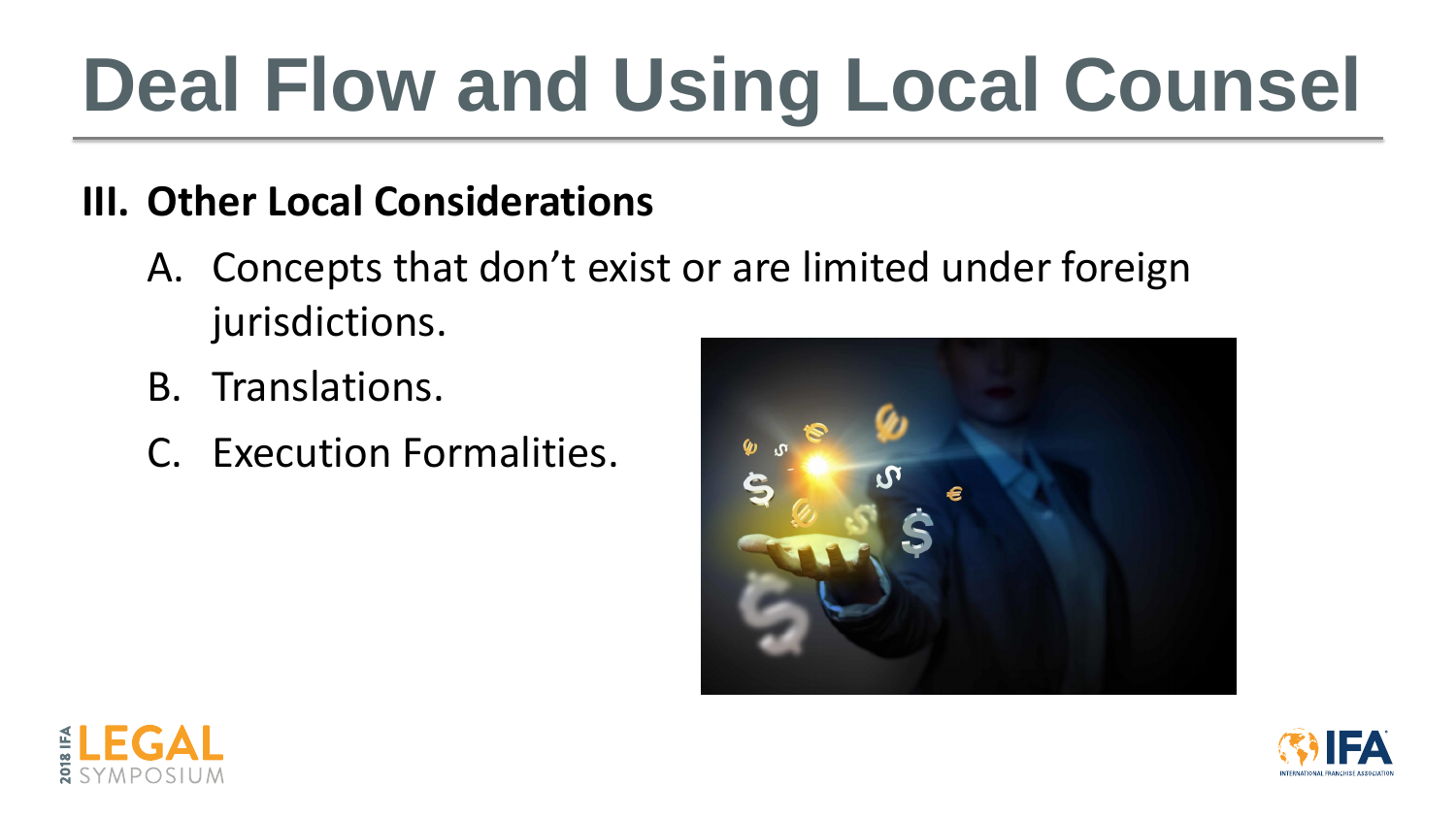# **Deal Flow and Using Local Counsel**

## **III. Other Local Considerations**

- A. Concepts that don't exist or are limited under foreign jurisdictions.
- B. Translations.
- C. Execution Formalities.









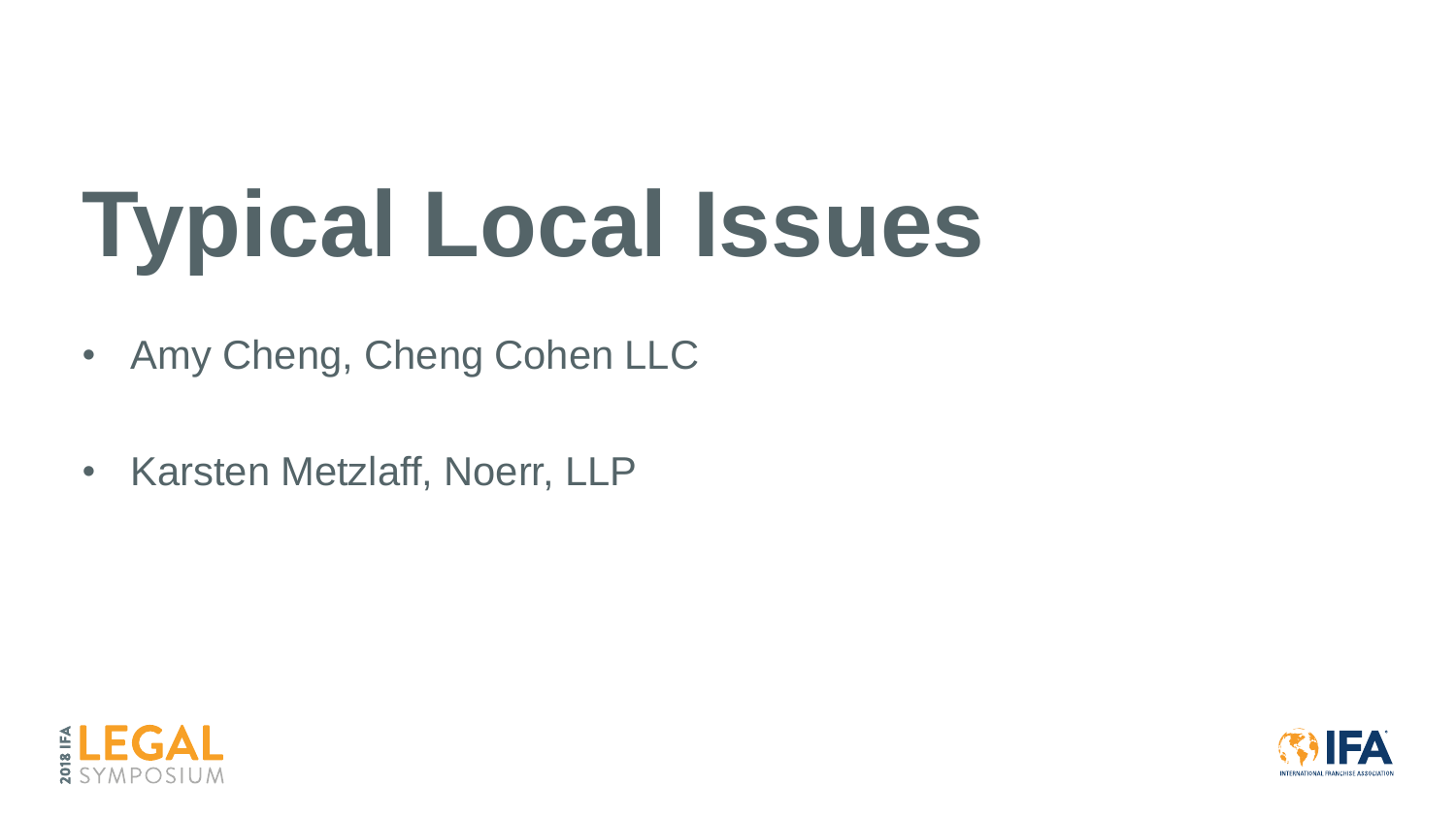# **Typical Local Issues**

- Amy Cheng, Cheng Cohen LLC
- Karsten Metzlaff, Noerr, LLP



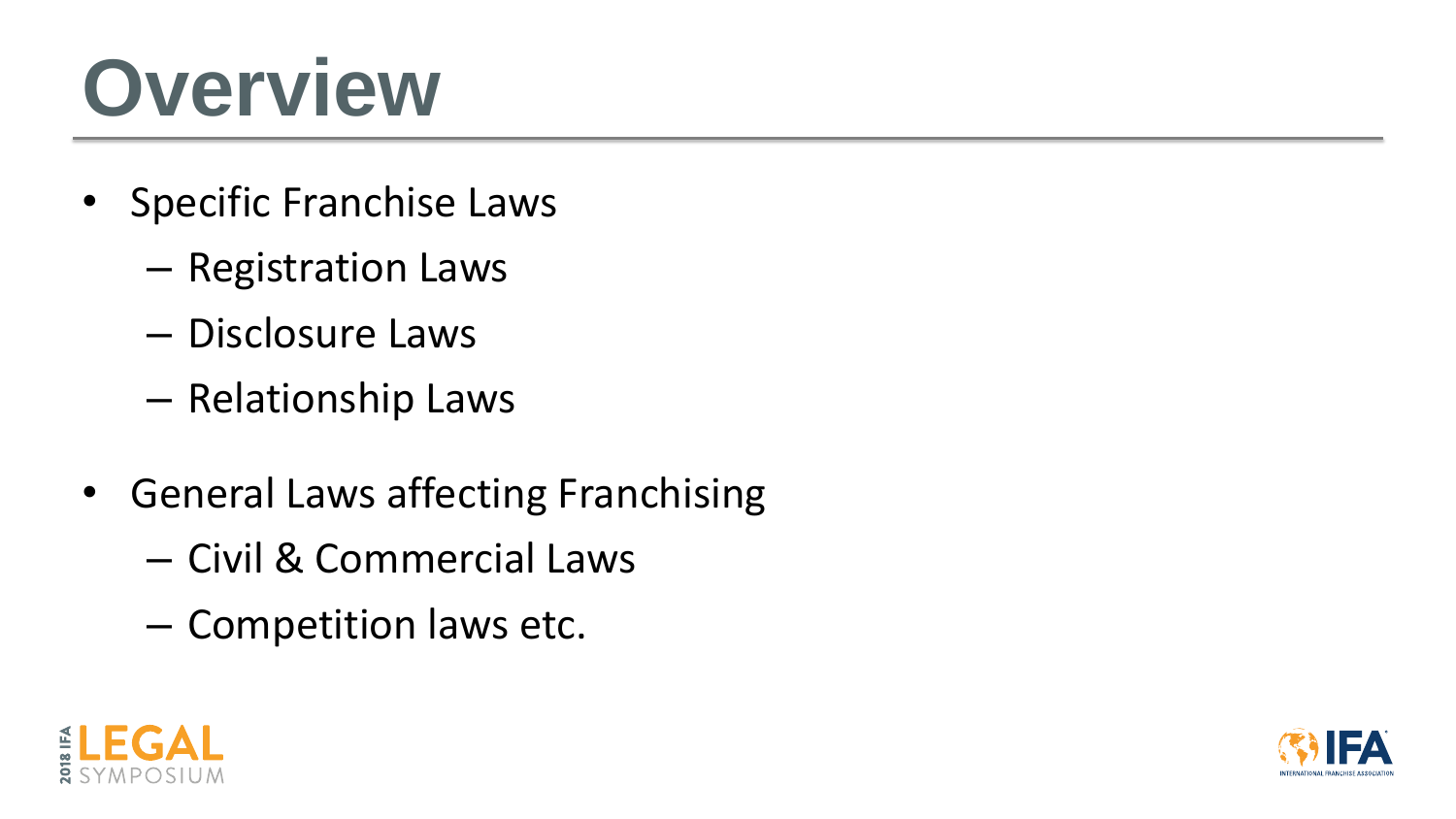## **Overview**

- Specific Franchise Laws
	- Registration Laws
	- Disclosure Laws
	- Relationship Laws
- General Laws affecting Franchising
	- Civil & Commercial Laws
	- Competition laws etc.



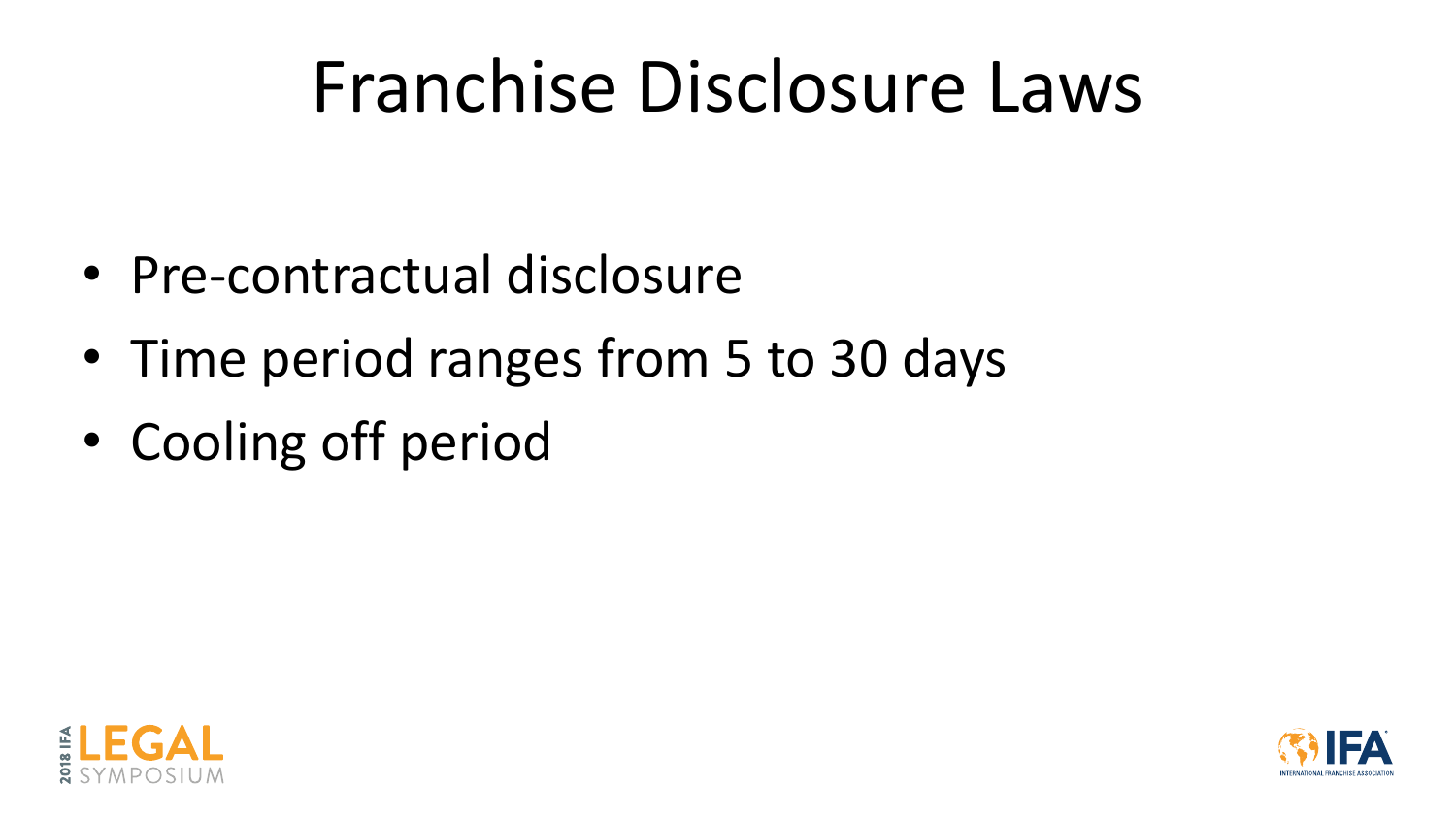## Franchise Disclosure Laws

- Pre-contractual disclosure
- Time period ranges from 5 to 30 days
- Cooling off period



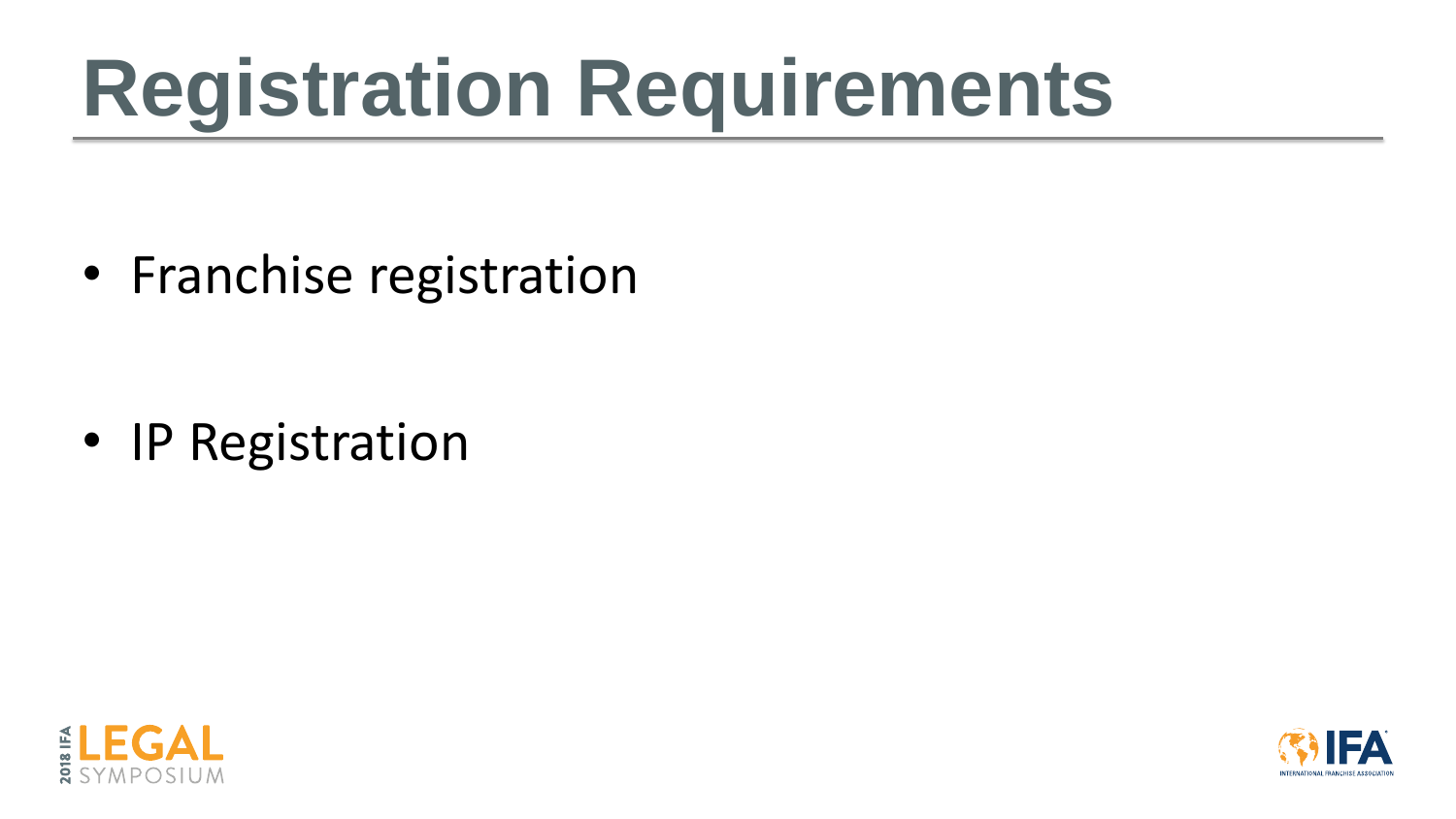# **Registration Requirements**

• Franchise registration

• IP Registration



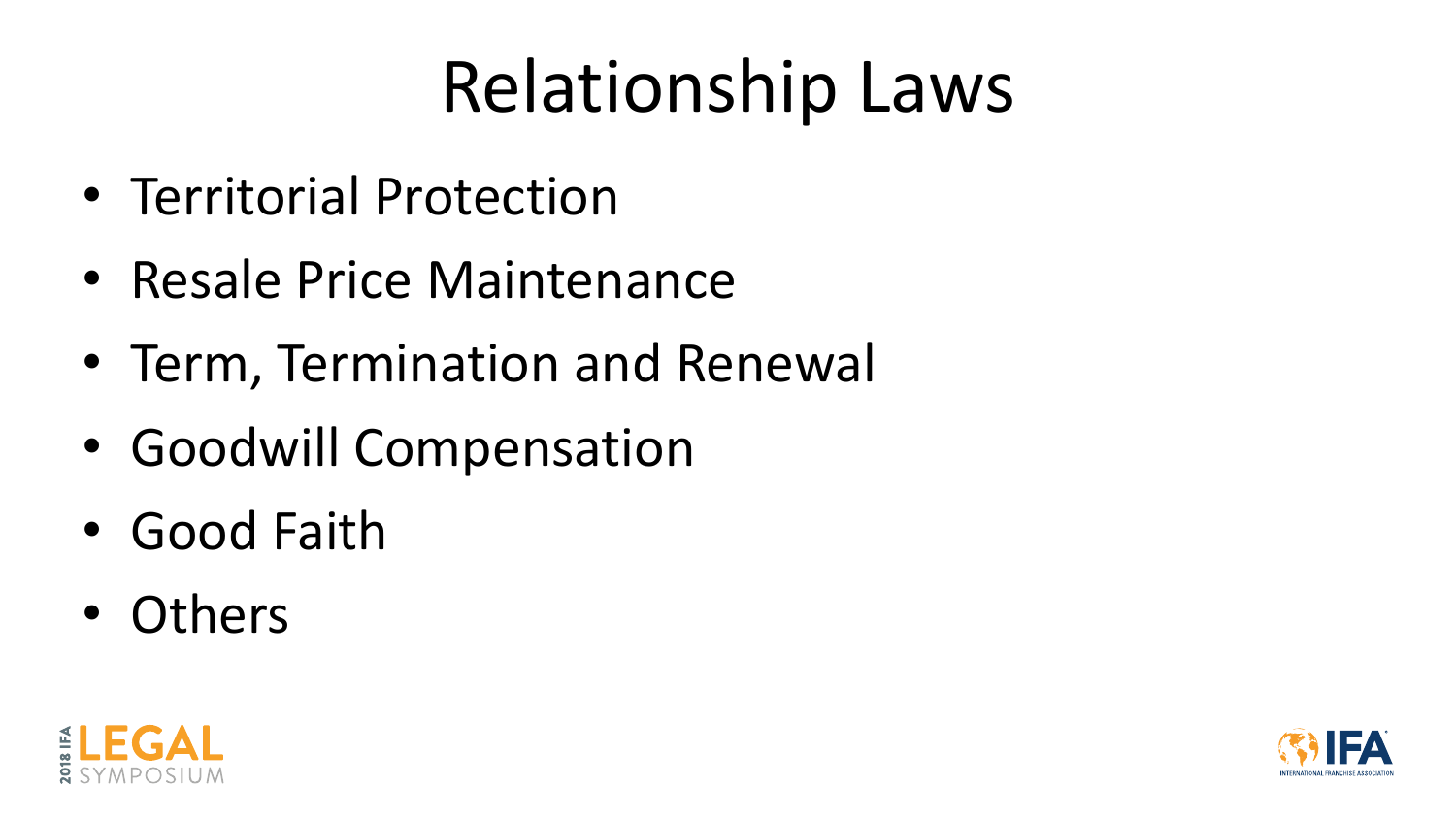## Relationship Laws

- Territorial Protection
- Resale Price Maintenance
- Term, Termination and Renewal
- Goodwill Compensation
- Good Faith
- Others